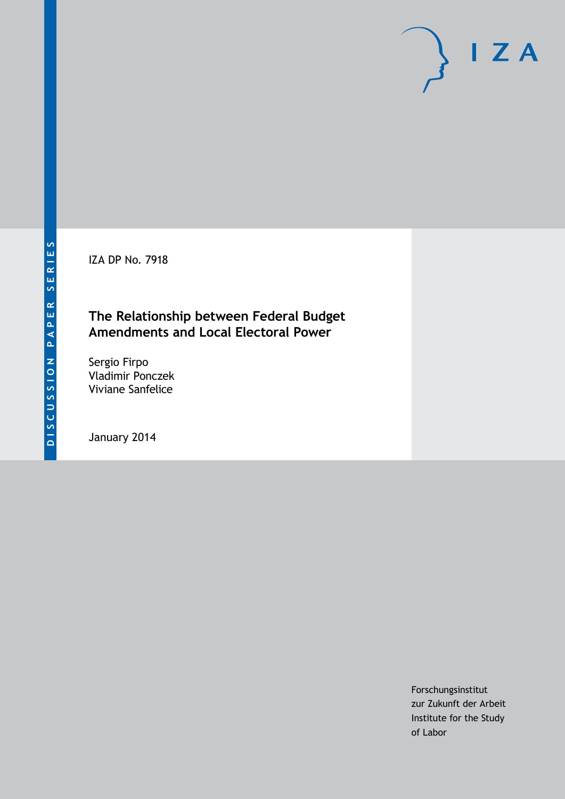IZA DP No. 7918

## **The Relationship between Federal Budget Amendments and Local Electoral Power**

Sergio Firpo Vladimir Ponczek Viviane Sanfelice

January 2014

Forschungsinstitut zur Zukunft der Arbeit Institute for the Study of Labor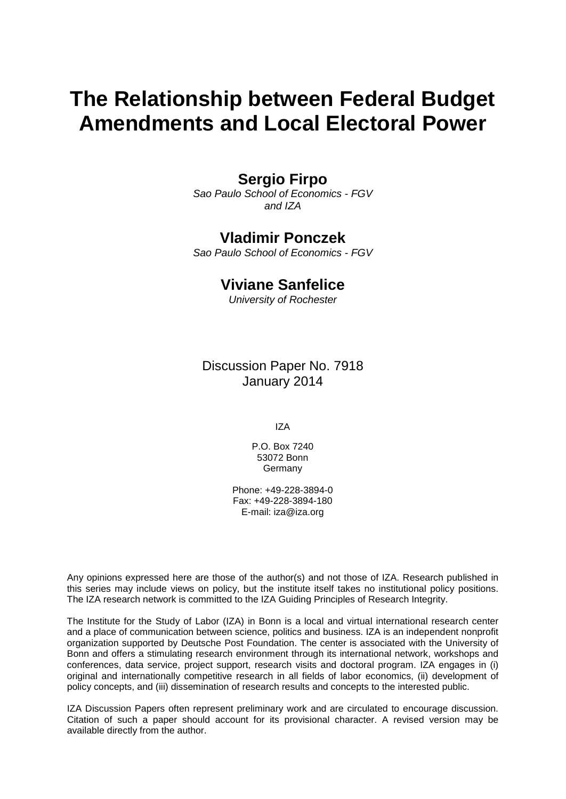# **The Relationship between Federal Budget Amendments and Local Electoral Power**

## **Sergio Firpo**

*Sao Paulo School of Economics - FGV and IZA*

### **Vladimir Ponczek**

*Sao Paulo School of Economics - FGV*

### **Viviane Sanfelice**

*University of Rochester*

Discussion Paper No. 7918 January 2014

IZA

P.O. Box 7240 53072 Bonn Germany

Phone: +49-228-3894-0 Fax: +49-228-3894-180 E-mail: [iza@iza.org](mailto:iza@iza.org)

Any opinions expressed here are those of the author(s) and not those of IZA. Research published in this series may include views on policy, but the institute itself takes no institutional policy positions. The IZA research network is committed to the IZA Guiding Principles of Research Integrity.

The Institute for the Study of Labor (IZA) in Bonn is a local and virtual international research center and a place of communication between science, politics and business. IZA is an independent nonprofit organization supported by Deutsche Post Foundation. The center is associated with the University of Bonn and offers a stimulating research environment through its international network, workshops and conferences, data service, project support, research visits and doctoral program. IZA engages in (i) original and internationally competitive research in all fields of labor economics, (ii) development of policy concepts, and (iii) dissemination of research results and concepts to the interested public.

IZA Discussion Papers often represent preliminary work and are circulated to encourage discussion. Citation of such a paper should account for its provisional character. A revised version may be available directly from the author.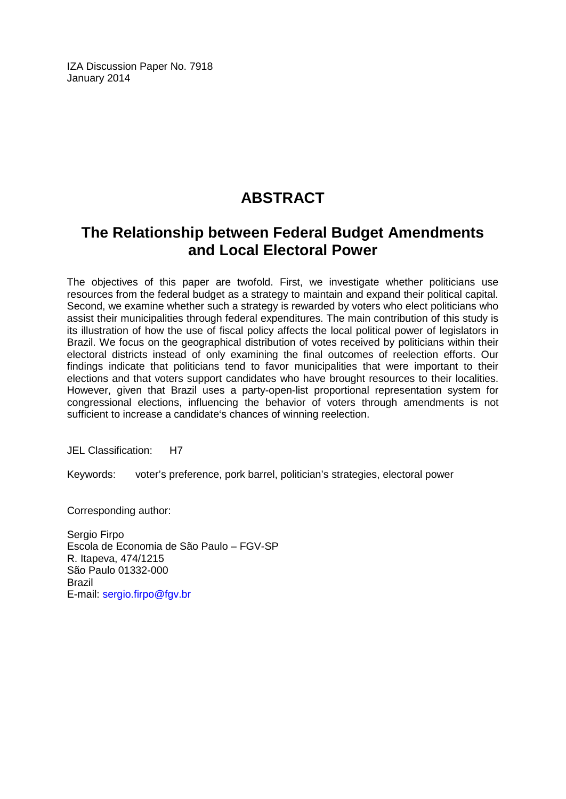IZA Discussion Paper No. 7918 January 2014

## **ABSTRACT**

## **The Relationship between Federal Budget Amendments and Local Electoral Power**

The objectives of this paper are twofold. First, we investigate whether politicians use resources from the federal budget as a strategy to maintain and expand their political capital. Second, we examine whether such a strategy is rewarded by voters who elect politicians who assist their municipalities through federal expenditures. The main contribution of this study is its illustration of how the use of fiscal policy affects the local political power of legislators in Brazil. We focus on the geographical distribution of votes received by politicians within their electoral districts instead of only examining the final outcomes of reelection efforts. Our findings indicate that politicians tend to favor municipalities that were important to their elections and that voters support candidates who have brought resources to their localities. However, given that Brazil uses a party-open-list proportional representation system for congressional elections, influencing the behavior of voters through amendments is not sufficient to increase a candidate's chances of winning reelection.

JEL Classification: H7

Keywords: voter's preference, pork barrel, politician's strategies, electoral power

Corresponding author:

Sergio Firpo Escola de Economia de São Paulo – FGV-SP R. Itapeva, 474/1215 São Paulo 01332-000 Brazil E-mail: [sergio.firpo@fgv.br](mailto:sergio.firpo@fgv.br)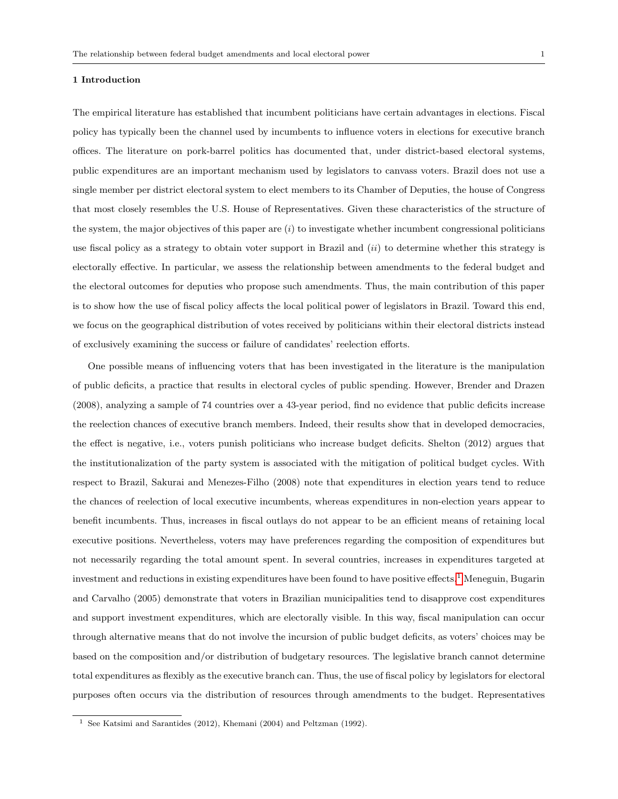The empirical literature has established that incumbent politicians have certain advantages in elections. Fiscal policy has typically been the channel used by incumbents to influence voters in elections for executive branch offices. The literature on pork-barrel politics has documented that, under district-based electoral systems, public expenditures are an important mechanism used by legislators to canvass voters. Brazil does not use a single member per district electoral system to elect members to its Chamber of Deputies, the house of Congress that most closely resembles the U.S. House of Representatives. Given these characteristics of the structure of the system, the major objectives of this paper are  $(i)$  to investigate whether incumbent congressional politicians use fiscal policy as a strategy to obtain voter support in Brazil and  $(ii)$  to determine whether this strategy is electorally effective. In particular, we assess the relationship between amendments to the federal budget and the electoral outcomes for deputies who propose such amendments. Thus, the main contribution of this paper is to show how the use of fiscal policy affects the local political power of legislators in Brazil. Toward this end, we focus on the geographical distribution of votes received by politicians within their electoral districts instead of exclusively examining the success or failure of candidates' reelection efforts.

One possible means of influencing voters that has been investigated in the literature is the manipulation of public deficits, a practice that results in electoral cycles of public spending. However, Brender and Drazen (2008), analyzing a sample of 74 countries over a 43-year period, find no evidence that public deficits increase the reelection chances of executive branch members. Indeed, their results show that in developed democracies, the effect is negative, i.e., voters punish politicians who increase budget deficits. Shelton (2012) argues that the institutionalization of the party system is associated with the mitigation of political budget cycles. With respect to Brazil, Sakurai and Menezes-Filho (2008) note that expenditures in election years tend to reduce the chances of reelection of local executive incumbents, whereas expenditures in non-election years appear to benefit incumbents. Thus, increases in fiscal outlays do not appear to be an efficient means of retaining local executive positions. Nevertheless, voters may have preferences regarding the composition of expenditures but not necessarily regarding the total amount spent. In several countries, increases in expenditures targeted at investment and reductions in existing expenditures have been found to have positive effects.<sup>1</sup> Meneguin, Bugarin and Carvalho (2005) demonstrate that voters in Brazilian municipalities tend to disapprove cost expenditures and support investment expenditures, which are electorally visible. In this way, fiscal manipulation can occur through alternative means that do not involve the incursion of public budget deficits, as voters' choices may be based on the composition and/or distribution of budgetary resources. The legislative branch cannot determine total expenditures as flexibly as the executive branch can. Thus, the use of fiscal policy by legislators for electoral purposes often occurs via the distribution of resources through amendments to the budget. Representatives

<sup>1</sup> See Katsimi and Sarantides (2012), Khemani (2004) and Peltzman (1992).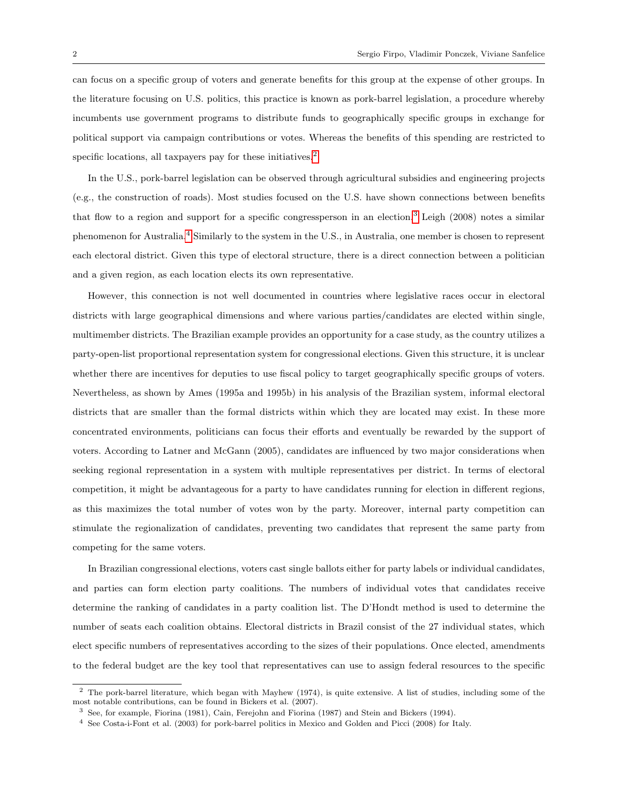can focus on a specific group of voters and generate benefits for this group at the expense of other groups. In the literature focusing on U.S. politics, this practice is known as pork-barrel legislation, a procedure whereby incumbents use government programs to distribute funds to geographically specific groups in exchange for political support via campaign contributions or votes. Whereas the benefits of this spending are restricted to specific locations, all taxpayers pay for these initiatives.<sup>2</sup>

In the U.S., pork-barrel legislation can be observed through agricultural subsidies and engineering projects (e.g., the construction of roads). Most studies focused on the U.S. have shown connections between benefits that flow to a region and support for a specific congressperson in an election.<sup>3</sup> Leigh (2008) notes a similar phenomenon for Australia.4 Similarly to the system in the U.S., in Australia, one member is chosen to represent each electoral district. Given this type of electoral structure, there is a direct connection between a politician and a given region, as each location elects its own representative.

However, this connection is not well documented in countries where legislative races occur in electoral districts with large geographical dimensions and where various parties/candidates are elected within single, multimember districts. The Brazilian example provides an opportunity for a case study, as the country utilizes a party-open-list proportional representation system for congressional elections. Given this structure, it is unclear whether there are incentives for deputies to use fiscal policy to target geographically specific groups of voters. Nevertheless, as shown by Ames (1995a and 1995b) in his analysis of the Brazilian system, informal electoral districts that are smaller than the formal districts within which they are located may exist. In these more concentrated environments, politicians can focus their efforts and eventually be rewarded by the support of voters. According to Latner and McGann (2005), candidates are influenced by two major considerations when seeking regional representation in a system with multiple representatives per district. In terms of electoral competition, it might be advantageous for a party to have candidates running for election in different regions, as this maximizes the total number of votes won by the party. Moreover, internal party competition can stimulate the regionalization of candidates, preventing two candidates that represent the same party from competing for the same voters.

In Brazilian congressional elections, voters cast single ballots either for party labels or individual candidates, and parties can form election party coalitions. The numbers of individual votes that candidates receive determine the ranking of candidates in a party coalition list. The D'Hondt method is used to determine the number of seats each coalition obtains. Electoral districts in Brazil consist of the 27 individual states, which elect specific numbers of representatives according to the sizes of their populations. Once elected, amendments to the federal budget are the key tool that representatives can use to assign federal resources to the specific

<sup>&</sup>lt;sup>2</sup> The pork-barrel literature, which began with Mayhew (1974), is quite extensive. A list of studies, including some of the most notable contributions, can be found in Bickers et al. (2007).

<sup>3</sup> See, for example, Fiorina (1981), Cain, Ferejohn and Fiorina (1987) and Stein and Bickers (1994).

<sup>4</sup> See Costa-i-Font et al. (2003) for pork-barrel politics in Mexico and Golden and Picci (2008) for Italy.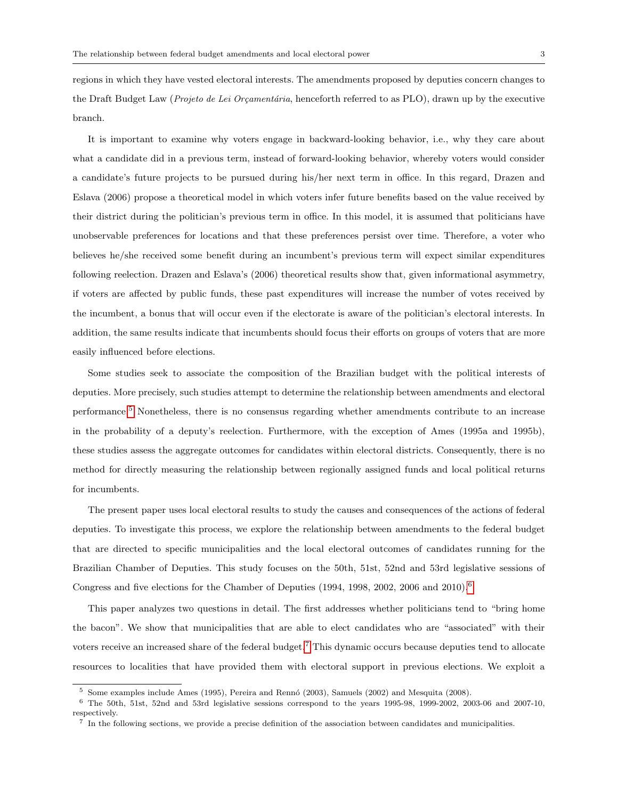regions in which they have vested electoral interests. The amendments proposed by deputies concern changes to the Draft Budget Law (*Projeto de Lei Orçamentária*, henceforth referred to as PLO), drawn up by the executive branch.

It is important to examine why voters engage in backward-looking behavior, i.e., why they care about what a candidate did in a previous term, instead of forward-looking behavior, whereby voters would consider a candidate's future projects to be pursued during his/her next term in office. In this regard, Drazen and Eslava (2006) propose a theoretical model in which voters infer future benefits based on the value received by their district during the politician's previous term in office. In this model, it is assumed that politicians have unobservable preferences for locations and that these preferences persist over time. Therefore, a voter who believes he/she received some benefit during an incumbent's previous term will expect similar expenditures following reelection. Drazen and Eslava's (2006) theoretical results show that, given informational asymmetry, if voters are affected by public funds, these past expenditures will increase the number of votes received by the incumbent, a bonus that will occur even if the electorate is aware of the politician's electoral interests. In addition, the same results indicate that incumbents should focus their efforts on groups of voters that are more easily influenced before elections.

Some studies seek to associate the composition of the Brazilian budget with the political interests of deputies. More precisely, such studies attempt to determine the relationship between amendments and electoral performance.5 Nonetheless, there is no consensus regarding whether amendments contribute to an increase in the probability of a deputy's reelection. Furthermore, with the exception of Ames (1995a and 1995b), these studies assess the aggregate outcomes for candidates within electoral districts. Consequently, there is no method for directly measuring the relationship between regionally assigned funds and local political returns for incumbents.

The present paper uses local electoral results to study the causes and consequences of the actions of federal deputies. To investigate this process, we explore the relationship between amendments to the federal budget that are directed to specific municipalities and the local electoral outcomes of candidates running for the Brazilian Chamber of Deputies. This study focuses on the 50th, 51st, 52nd and 53rd legislative sessions of Congress and five elections for the Chamber of Deputies (1994, 1998, 2002, 2006 and 2010).6

This paper analyzes two questions in detail. The first addresses whether politicians tend to "bring home the bacon". We show that municipalities that are able to elect candidates who are "associated" with their voters receive an increased share of the federal budget.7 This dynamic occurs because deputies tend to allocate resources to localities that have provided them with electoral support in previous elections. We exploit a

 $5$  Some examples include Ames (1995), Pereira and Rennó (2003), Samuels (2002) and Mesquita (2008).

 $6$  The 50th, 51st, 52nd and 53rd legislative sessions correspond to the years 1995-98, 1999-2002, 2003-06 and 2007-10, respectively.

<sup>7</sup> In the following sections, we provide a precise definition of the association between candidates and municipalities.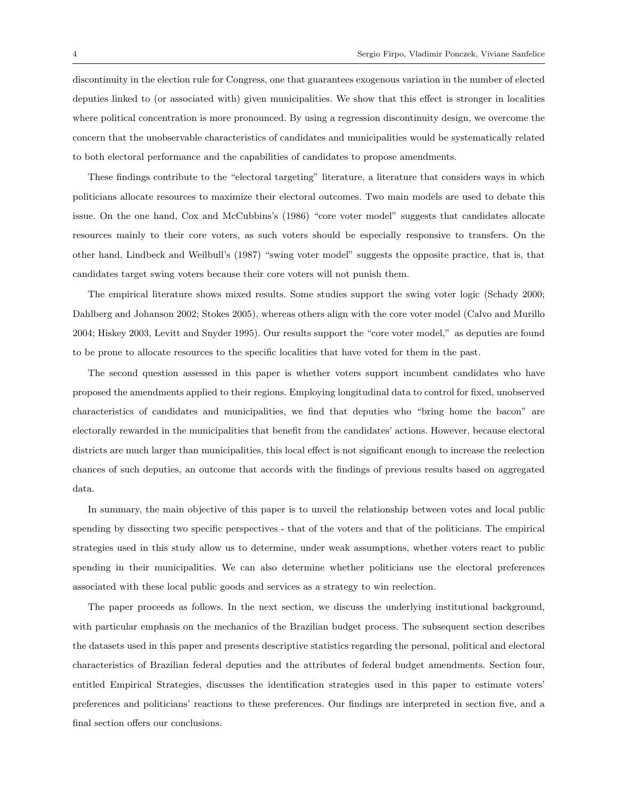discontinuity in the election rule for Congress, one that guarantees exogenous variation in the number of elected deputies linked to (or associated with) given municipalities. We show that this effect is stronger in localities where political concentration is more pronounced. By using a regression discontinuity design, we overcome the concern that the unobservable characteristics of candidates and municipalities would be systematically related to both electoral performance and the capabilities of candidates to propose amendments.

These findings contribute to the "electoral targeting" literature, a literature that considers ways in which politicians allocate resources to maximize their electoral outcomes. Two main models are used to debate this issue. On the one hand, Cox and McCubbins's (1986) "core voter model" suggests that candidates allocate resources mainly to their core voters, as such voters should be especially responsive to transfers. On the other hand, Lindbeck and Weilbull's (1987) "swing voter model" suggests the opposite practice, that is, that candidates target swing voters because their core voters will not punish them.

The empirical literature shows mixed results. Some studies support the swing voter logic (Schady 2000; Dahlberg and Johanson 2002; Stokes 2005), whereas others align with the core voter model (Calvo and Murillo 2004; Hiskey 2003, Levitt and Snyder 1995). Our results support the "core voter model," as deputies are found to be prone to allocate resources to the specific localities that have voted for them in the past.

The second question assessed in this paper is whether voters support incumbent candidates who have proposed the amendments applied to their regions. Employing longitudinal data to control for fixed, unobserved characteristics of candidates and municipalities, we find that deputies who "bring home the bacon" are electorally rewarded in the municipalities that benefit from the candidates' actions. However, because electoral districts are much larger than municipalities, this local effect is not significant enough to increase the reelection chances of such deputies, an outcome that accords with the findings of previous results based on aggregated data.

In summary, the main objective of this paper is to unveil the relationship between votes and local public spending by dissecting two specific perspectives - that of the voters and that of the politicians. The empirical strategies used in this study allow us to determine, under weak assumptions, whether voters react to public spending in their municipalities. We can also determine whether politicians use the electoral preferences associated with these local public goods and services as a strategy to win reelection.

The paper proceeds as follows. In the next section, we discuss the underlying institutional background, with particular emphasis on the mechanics of the Brazilian budget process. The subsequent section describes the datasets used in this paper and presents descriptive statistics regarding the personal, political and electoral characteristics of Brazilian federal deputies and the attributes of federal budget amendments. Section four, entitled Empirical Strategies, discusses the identification strategies used in this paper to estimate voters' preferences and politicians' reactions to these preferences. Our findings are interpreted in section five, and a final section offers our conclusions.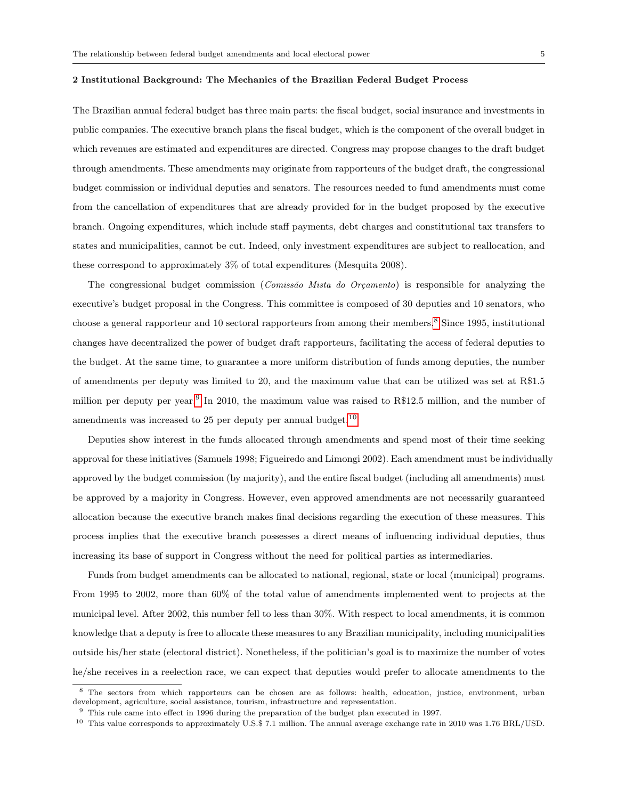#### 2 Institutional Background: The Mechanics of the Brazilian Federal Budget Process

The Brazilian annual federal budget has three main parts: the fiscal budget, social insurance and investments in public companies. The executive branch plans the fiscal budget, which is the component of the overall budget in which revenues are estimated and expenditures are directed. Congress may propose changes to the draft budget through amendments. These amendments may originate from rapporteurs of the budget draft, the congressional budget commission or individual deputies and senators. The resources needed to fund amendments must come from the cancellation of expenditures that are already provided for in the budget proposed by the executive branch. Ongoing expenditures, which include staff payments, debt charges and constitutional tax transfers to states and municipalities, cannot be cut. Indeed, only investment expenditures are subject to reallocation, and these correspond to approximately 3% of total expenditures (Mesquita 2008).

The congressional budget commission (*Comissão Mista do Orçamento*) is responsible for analyzing the executive's budget proposal in the Congress. This committee is composed of 30 deputies and 10 senators, who choose a general rapporteur and 10 sectoral rapporteurs from among their members.<sup>8</sup> Since 1995, institutional changes have decentralized the power of budget draft rapporteurs, facilitating the access of federal deputies to the budget. At the same time, to guarantee a more uniform distribution of funds among deputies, the number of amendments per deputy was limited to 20, and the maximum value that can be utilized was set at R\$1.5 million per deputy per year.<sup>9</sup> In 2010, the maximum value was raised to R\$12.5 million, and the number of amendments was increased to 25 per deputy per annual budget.  $^{10}$ 

Deputies show interest in the funds allocated through amendments and spend most of their time seeking approval for these initiatives (Samuels 1998; Figueiredo and Limongi 2002). Each amendment must be individually approved by the budget commission (by majority), and the entire fiscal budget (including all amendments) must be approved by a majority in Congress. However, even approved amendments are not necessarily guaranteed allocation because the executive branch makes final decisions regarding the execution of these measures. This process implies that the executive branch possesses a direct means of influencing individual deputies, thus increasing its base of support in Congress without the need for political parties as intermediaries.

Funds from budget amendments can be allocated to national, regional, state or local (municipal) programs. From 1995 to 2002, more than 60% of the total value of amendments implemented went to projects at the municipal level. After 2002, this number fell to less than 30%. With respect to local amendments, it is common knowledge that a deputy is free to allocate these measures to any Brazilian municipality, including municipalities outside his/her state (electoral district). Nonetheless, if the politician's goal is to maximize the number of votes he/she receives in a reelection race, we can expect that deputies would prefer to allocate amendments to the

<sup>&</sup>lt;sup>8</sup> The sectors from which rapporteurs can be chosen are as follows: health, education, justice, environment, urban development, agriculture, social assistance, tourism, infrastructure and representation.

 $^9\,$  This rule came into effect in 1996 during the preparation of the budget plan executed in 1997.

<sup>10</sup> This value corresponds to approximately U.S.\$ 7.1 million. The annual average exchange rate in 2010 was 1.76 BRL/USD.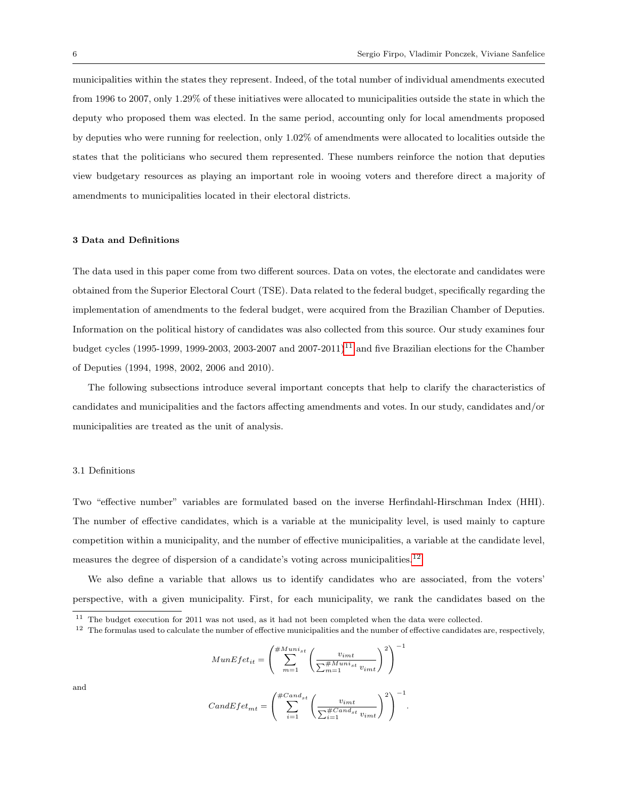municipalities within the states they represent. Indeed, of the total number of individual amendments executed from 1996 to 2007, only 1.29% of these initiatives were allocated to municipalities outside the state in which the deputy who proposed them was elected. In the same period, accounting only for local amendments proposed by deputies who were running for reelection, only 1.02% of amendments were allocated to localities outside the states that the politicians who secured them represented. These numbers reinforce the notion that deputies view budgetary resources as playing an important role in wooing voters and therefore direct a majority of amendments to municipalities located in their electoral districts.

#### 3 Data and Definitions

The data used in this paper come from two different sources. Data on votes, the electorate and candidates were obtained from the Superior Electoral Court (TSE). Data related to the federal budget, specifically regarding the implementation of amendments to the federal budget, were acquired from the Brazilian Chamber of Deputies. Information on the political history of candidates was also collected from this source. Our study examines four budget cycles (1995-1999, 1999-2003, 2003-2007 and  $2007-2011$ )<sup>11</sup> and five Brazilian elections for the Chamber of Deputies (1994, 1998, 2002, 2006 and 2010).

The following subsections introduce several important concepts that help to clarify the characteristics of candidates and municipalities and the factors affecting amendments and votes. In our study, candidates and/or municipalities are treated as the unit of analysis.

#### 3.1 Definitions

Two "effective number" variables are formulated based on the inverse Herfindahl-Hirschman Index (HHI). The number of effective candidates, which is a variable at the municipality level, is used mainly to capture competition within a municipality, and the number of effective municipalities, a variable at the candidate level, measures the degree of dispersion of a candidate's voting across municipalities.<sup>12</sup>

We also define a variable that allows us to identify candidates who are associated, from the voters' perspective, with a given municipality. First, for each municipality, we rank the candidates based on the

$$
MunEfet_{it} = \left(\sum_{m=1}^{\#Muni_{st}} \left(\frac{v_{imt}}{\sum_{m=1}^{\#Muni_{st}} v_{imt}}\right)^2\right)^{-1}
$$

and

$$
CandEfet_{mt} = \left(\sum_{i=1}^{\#Cand_{st}} \left(\frac{v_{imt}}{\sum_{i=1}^{\#Cand_{st}} v_{imt}}\right)^2\right)^{-1}.
$$

<sup>&</sup>lt;sup>11</sup> The budget execution for 2011 was not used, as it had not been completed when the data were collected.

 $12$  The formulas used to calculate the number of effective municipalities and the number of effective candidates are, respectively,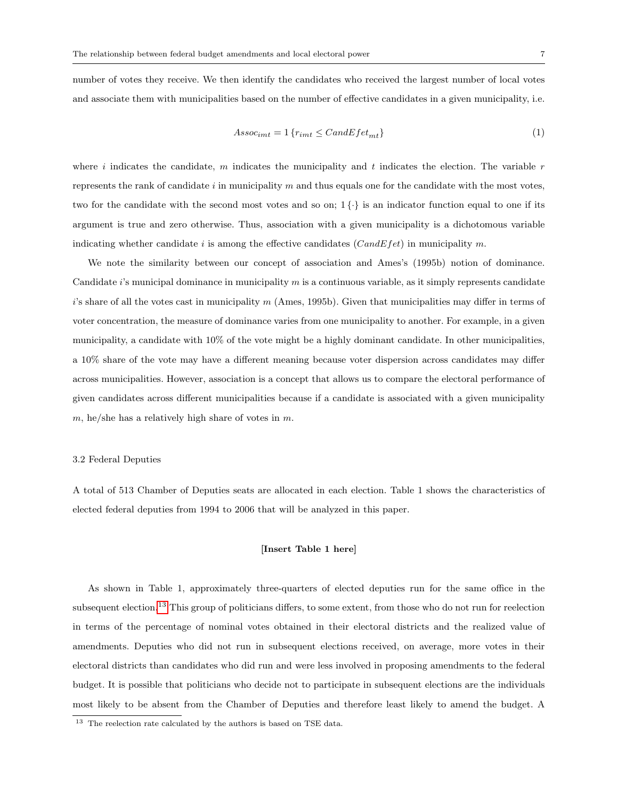number of votes they receive. We then identify the candidates who received the largest number of local votes and associate them with municipalities based on the number of effective candidates in a given municipality, i.e.

$$
Assoc_{imt} = 1 \{r_{imt} \leq CandEfet_{mt}\}\tag{1}
$$

where i indicates the candidate, m indicates the municipality and t indicates the election. The variable  $r$ represents the rank of candidate  $i$  in municipality m and thus equals one for the candidate with the most votes, two for the candidate with the second most votes and so on;  $1\{\cdot\}$  is an indicator function equal to one if its argument is true and zero otherwise. Thus, association with a given municipality is a dichotomous variable indicating whether candidate i is among the effective candidates ( $CandE fet$ ) in municipality m.

We note the similarity between our concept of association and Ames's (1995b) notion of dominance. Candidate  $i$ 's municipal dominance in municipality m is a continuous variable, as it simply represents candidate i's share of all the votes cast in municipality m (Ames, 1995b). Given that municipalities may differ in terms of voter concentration, the measure of dominance varies from one municipality to another. For example, in a given municipality, a candidate with 10% of the vote might be a highly dominant candidate. In other municipalities, a 10% share of the vote may have a different meaning because voter dispersion across candidates may differ across municipalities. However, association is a concept that allows us to compare the electoral performance of given candidates across different municipalities because if a candidate is associated with a given municipality  $m$ , he/she has a relatively high share of votes in  $m$ .

#### 3.2 Federal Deputies

A total of 513 Chamber of Deputies seats are allocated in each election. Table 1 shows the characteristics of elected federal deputies from 1994 to 2006 that will be analyzed in this paper.

#### [Insert Table 1 here]

As shown in Table 1, approximately three-quarters of elected deputies run for the same office in the subsequent election.<sup>13</sup> This group of politicians differs, to some extent, from those who do not run for reelection in terms of the percentage of nominal votes obtained in their electoral districts and the realized value of amendments. Deputies who did not run in subsequent elections received, on average, more votes in their electoral districts than candidates who did run and were less involved in proposing amendments to the federal budget. It is possible that politicians who decide not to participate in subsequent elections are the individuals most likely to be absent from the Chamber of Deputies and therefore least likely to amend the budget. A

<sup>&</sup>lt;sup>13</sup> The reelection rate calculated by the authors is based on TSE data.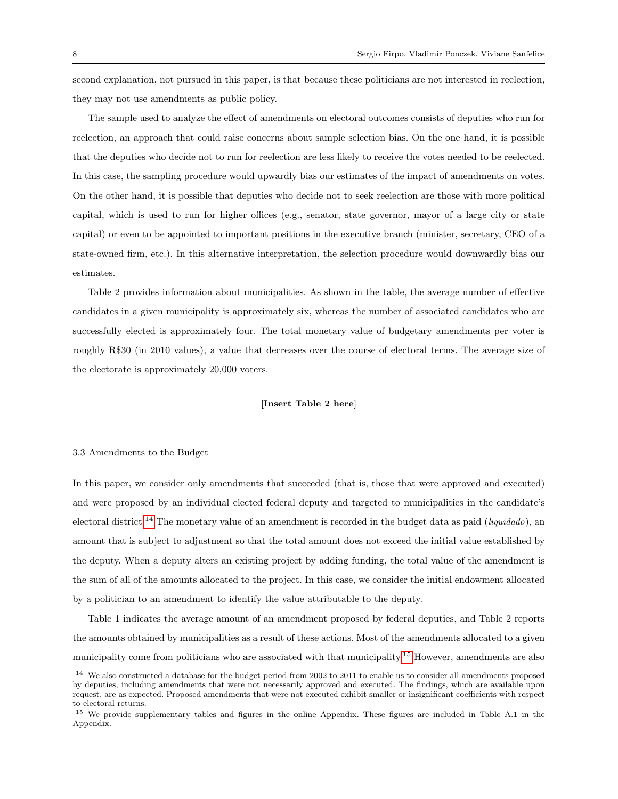second explanation, not pursued in this paper, is that because these politicians are not interested in reelection, they may not use amendments as public policy.

The sample used to analyze the effect of amendments on electoral outcomes consists of deputies who run for reelection, an approach that could raise concerns about sample selection bias. On the one hand, it is possible that the deputies who decide not to run for reelection are less likely to receive the votes needed to be reelected. In this case, the sampling procedure would upwardly bias our estimates of the impact of amendments on votes. On the other hand, it is possible that deputies who decide not to seek reelection are those with more political capital, which is used to run for higher offices (e.g., senator, state governor, mayor of a large city or state capital) or even to be appointed to important positions in the executive branch (minister, secretary, CEO of a state-owned firm, etc.). In this alternative interpretation, the selection procedure would downwardly bias our estimates.

Table 2 provides information about municipalities. As shown in the table, the average number of effective candidates in a given municipality is approximately six, whereas the number of associated candidates who are successfully elected is approximately four. The total monetary value of budgetary amendments per voter is roughly R\$30 (in 2010 values), a value that decreases over the course of electoral terms. The average size of the electorate is approximately 20,000 voters.

#### [Insert Table 2 here]

#### 3.3 Amendments to the Budget

In this paper, we consider only amendments that succeeded (that is, those that were approved and executed) and were proposed by an individual elected federal deputy and targeted to municipalities in the candidate's electoral district.<sup>14</sup> The monetary value of an amendment is recorded in the budget data as paid (*liquidado*), an amount that is subject to adjustment so that the total amount does not exceed the initial value established by the deputy. When a deputy alters an existing project by adding funding, the total value of the amendment is the sum of all of the amounts allocated to the project. In this case, we consider the initial endowment allocated by a politician to an amendment to identify the value attributable to the deputy.

Table 1 indicates the average amount of an amendment proposed by federal deputies, and Table 2 reports the amounts obtained by municipalities as a result of these actions. Most of the amendments allocated to a given municipality come from politicians who are associated with that municipality.<sup>15</sup> However, amendments are also

<sup>14</sup> We also constructed a database for the budget period from 2002 to 2011 to enable us to consider all amendments proposed by deputies, including amendments that were not necessarily approved and executed. The findings, which are available upon request, are as expected. Proposed amendments that were not executed exhibit smaller or insignificant coefficients with respect to electoral returns.

<sup>&</sup>lt;sup>15</sup> We provide supplementary tables and figures in the online Appendix. These figures are included in Table A.1 in the Appendix.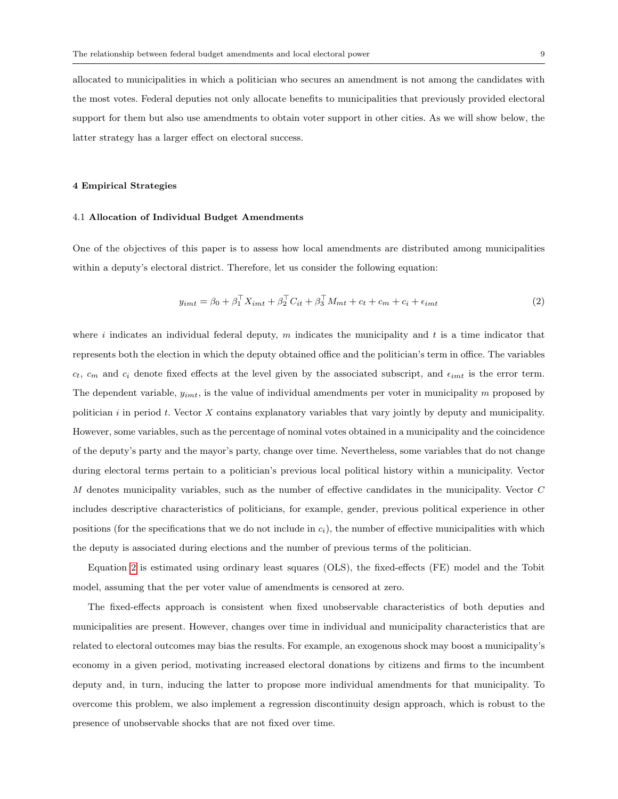allocated to municipalities in which a politician who secures an amendment is not among the candidates with the most votes. Federal deputies not only allocate benefits to municipalities that previously provided electoral support for them but also use amendments to obtain voter support in other cities. As we will show below, the latter strategy has a larger effect on electoral success.

#### 4 Empirical Strategies

#### 4.1 Allocation of Individual Budget Amendments

One of the objectives of this paper is to assess how local amendments are distributed among municipalities within a deputy's electoral district. Therefore, let us consider the following equation:

$$
y_{imt} = \beta_0 + \beta_1^{\top} X_{imt} + \beta_2^{\top} C_{it} + \beta_3^{\top} M_{mt} + c_t + c_m + c_i + \epsilon_{imt}
$$
 (2)

where i indicates an individual federal deputy, m indicates the municipality and t is a time indicator that represents both the election in which the deputy obtained office and the politician's term in office. The variables  $c_t$ ,  $c_m$  and  $c_i$  denote fixed effects at the level given by the associated subscript, and  $\epsilon_{imt}$  is the error term. The dependent variable,  $y_{imt}$ , is the value of individual amendments per voter in municipality m proposed by politician  $i$  in period  $t$ . Vector  $X$  contains explanatory variables that vary jointly by deputy and municipality. However, some variables, such as the percentage of nominal votes obtained in a municipality and the coincidence of the deputy's party and the mayor's party, change over time. Nevertheless, some variables that do not change during electoral terms pertain to a politician's previous local political history within a municipality. Vector M denotes municipality variables, such as the number of effective candidates in the municipality. Vector C includes descriptive characteristics of politicians, for example, gender, previous political experience in other positions (for the specifications that we do not include in  $c_i$ ), the number of effective municipalities with which the deputy is associated during elections and the number of previous terms of the politician.

Equation 2 is estimated using ordinary least squares (OLS), the fixed-effects (FE) model and the Tobit model, assuming that the per voter value of amendments is censored at zero.

The fixed-effects approach is consistent when fixed unobservable characteristics of both deputies and municipalities are present. However, changes over time in individual and municipality characteristics that are related to electoral outcomes may bias the results. For example, an exogenous shock may boost a municipality's economy in a given period, motivating increased electoral donations by citizens and firms to the incumbent deputy and, in turn, inducing the latter to propose more individual amendments for that municipality. To overcome this problem, we also implement a regression discontinuity design approach, which is robust to the presence of unobservable shocks that are not fixed over time.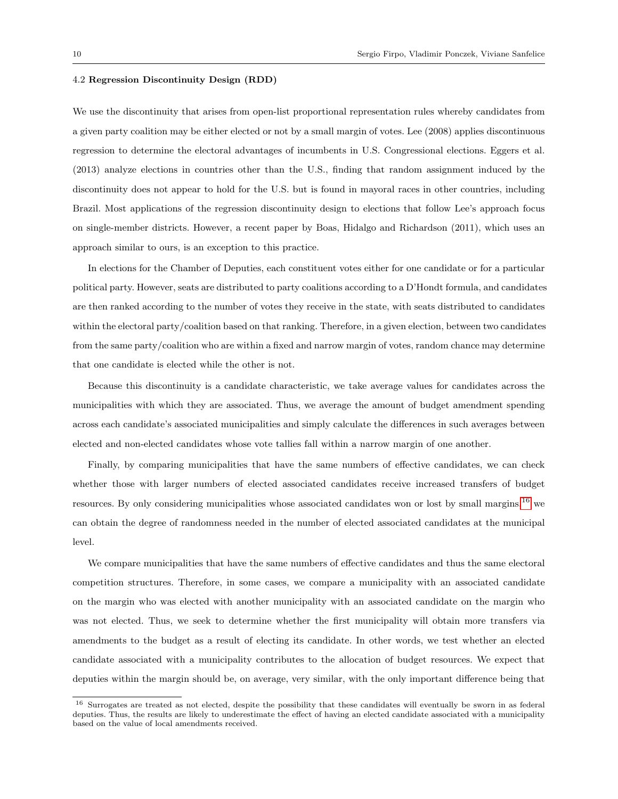#### 4.2 Regression Discontinuity Design (RDD)

We use the discontinuity that arises from open-list proportional representation rules whereby candidates from a given party coalition may be either elected or not by a small margin of votes. Lee (2008) applies discontinuous regression to determine the electoral advantages of incumbents in U.S. Congressional elections. Eggers et al. (2013) analyze elections in countries other than the U.S., finding that random assignment induced by the discontinuity does not appear to hold for the U.S. but is found in mayoral races in other countries, including Brazil. Most applications of the regression discontinuity design to elections that follow Lee's approach focus on single-member districts. However, a recent paper by Boas, Hidalgo and Richardson (2011), which uses an approach similar to ours, is an exception to this practice.

In elections for the Chamber of Deputies, each constituent votes either for one candidate or for a particular political party. However, seats are distributed to party coalitions according to a D'Hondt formula, and candidates are then ranked according to the number of votes they receive in the state, with seats distributed to candidates within the electoral party/coalition based on that ranking. Therefore, in a given election, between two candidates from the same party/coalition who are within a fixed and narrow margin of votes, random chance may determine that one candidate is elected while the other is not.

Because this discontinuity is a candidate characteristic, we take average values for candidates across the municipalities with which they are associated. Thus, we average the amount of budget amendment spending across each candidate's associated municipalities and simply calculate the differences in such averages between elected and non-elected candidates whose vote tallies fall within a narrow margin of one another.

Finally, by comparing municipalities that have the same numbers of effective candidates, we can check whether those with larger numbers of elected associated candidates receive increased transfers of budget resources. By only considering municipalities whose associated candidates won or lost by small margins,16 we can obtain the degree of randomness needed in the number of elected associated candidates at the municipal level.

We compare municipalities that have the same numbers of effective candidates and thus the same electoral competition structures. Therefore, in some cases, we compare a municipality with an associated candidate on the margin who was elected with another municipality with an associated candidate on the margin who was not elected. Thus, we seek to determine whether the first municipality will obtain more transfers via amendments to the budget as a result of electing its candidate. In other words, we test whether an elected candidate associated with a municipality contributes to the allocation of budget resources. We expect that deputies within the margin should be, on average, very similar, with the only important difference being that

<sup>&</sup>lt;sup>16</sup> Surrogates are treated as not elected, despite the possibility that these candidates will eventually be sworn in as federal deputies. Thus, the results are likely to underestimate the effect of having an elected candidate associated with a municipality based on the value of local amendments received.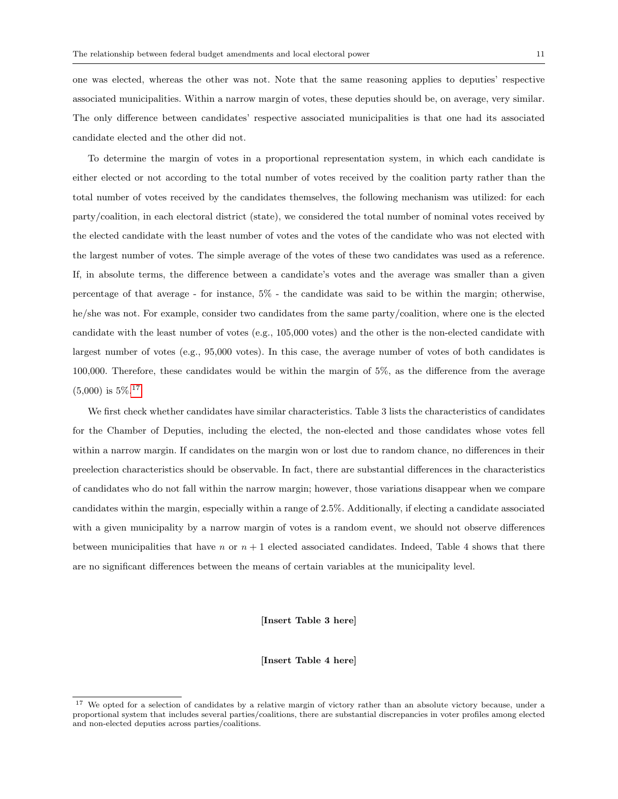one was elected, whereas the other was not. Note that the same reasoning applies to deputies' respective associated municipalities. Within a narrow margin of votes, these deputies should be, on average, very similar. The only difference between candidates' respective associated municipalities is that one had its associated candidate elected and the other did not.

To determine the margin of votes in a proportional representation system, in which each candidate is either elected or not according to the total number of votes received by the coalition party rather than the total number of votes received by the candidates themselves, the following mechanism was utilized: for each party/coalition, in each electoral district (state), we considered the total number of nominal votes received by the elected candidate with the least number of votes and the votes of the candidate who was not elected with the largest number of votes. The simple average of the votes of these two candidates was used as a reference. If, in absolute terms, the difference between a candidate's votes and the average was smaller than a given percentage of that average - for instance, 5% - the candidate was said to be within the margin; otherwise, he/she was not. For example, consider two candidates from the same party/coalition, where one is the elected candidate with the least number of votes (e.g., 105,000 votes) and the other is the non-elected candidate with largest number of votes (e.g., 95,000 votes). In this case, the average number of votes of both candidates is 100,000. Therefore, these candidates would be within the margin of 5%, as the difference from the average  $(5,000)$  is  $5\%$ .<sup>17</sup>

We first check whether candidates have similar characteristics. Table 3 lists the characteristics of candidates for the Chamber of Deputies, including the elected, the non-elected and those candidates whose votes fell within a narrow margin. If candidates on the margin won or lost due to random chance, no differences in their preelection characteristics should be observable. In fact, there are substantial differences in the characteristics of candidates who do not fall within the narrow margin; however, those variations disappear when we compare candidates within the margin, especially within a range of 2.5%. Additionally, if electing a candidate associated with a given municipality by a narrow margin of votes is a random event, we should not observe differences between municipalities that have n or  $n + 1$  elected associated candidates. Indeed, Table 4 shows that there are no significant differences between the means of certain variables at the municipality level.

#### [Insert Table 3 here]

[Insert Table 4 here]

<sup>&</sup>lt;sup>17</sup> We opted for a selection of candidates by a relative margin of victory rather than an absolute victory because, under a proportional system that includes several parties/coalitions, there are substantial discrepancies in voter profiles among elected and non-elected deputies across parties/coalitions.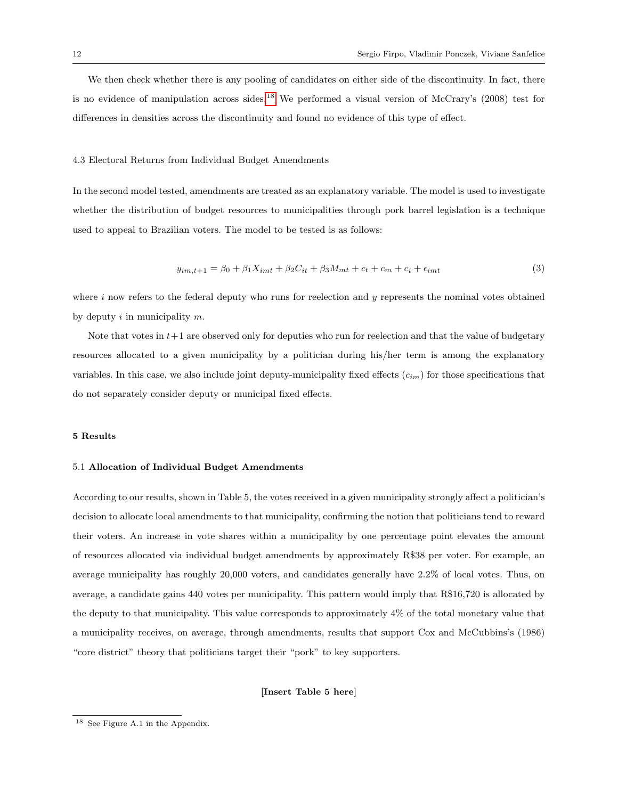We then check whether there is any pooling of candidates on either side of the discontinuity. In fact, there is no evidence of manipulation across sides.<sup>18</sup> We performed a visual version of McCrary's (2008) test for differences in densities across the discontinuity and found no evidence of this type of effect.

#### 4.3 Electoral Returns from Individual Budget Amendments

In the second model tested, amendments are treated as an explanatory variable. The model is used to investigate whether the distribution of budget resources to municipalities through pork barrel legislation is a technique used to appeal to Brazilian voters. The model to be tested is as follows:

$$
y_{im,t+1} = \beta_0 + \beta_1 X_{imt} + \beta_2 C_{it} + \beta_3 M_{mt} + c_t + c_m + c_i + \epsilon_{imt}
$$
 (3)

where i now refers to the federal deputy who runs for reelection and y represents the nominal votes obtained by deputy  $i$  in municipality  $m$ .

Note that votes in  $t+1$  are observed only for deputies who run for reelection and that the value of budgetary resources allocated to a given municipality by a politician during his/her term is among the explanatory variables. In this case, we also include joint deputy-municipality fixed effects  $(c_{im})$  for those specifications that do not separately consider deputy or municipal fixed effects.

#### 5 Results

#### 5.1 Allocation of Individual Budget Amendments

According to our results, shown in Table 5, the votes received in a given municipality strongly affect a politician's decision to allocate local amendments to that municipality, confirming the notion that politicians tend to reward their voters. An increase in vote shares within a municipality by one percentage point elevates the amount of resources allocated via individual budget amendments by approximately R\$38 per voter. For example, an average municipality has roughly 20,000 voters, and candidates generally have 2.2% of local votes. Thus, on average, a candidate gains 440 votes per municipality. This pattern would imply that R\$16,720 is allocated by the deputy to that municipality. This value corresponds to approximately 4% of the total monetary value that a municipality receives, on average, through amendments, results that support Cox and McCubbins's (1986) "core district" theory that politicians target their "pork" to key supporters.

[Insert Table 5 here]

<sup>18</sup> See Figure A.1 in the Appendix.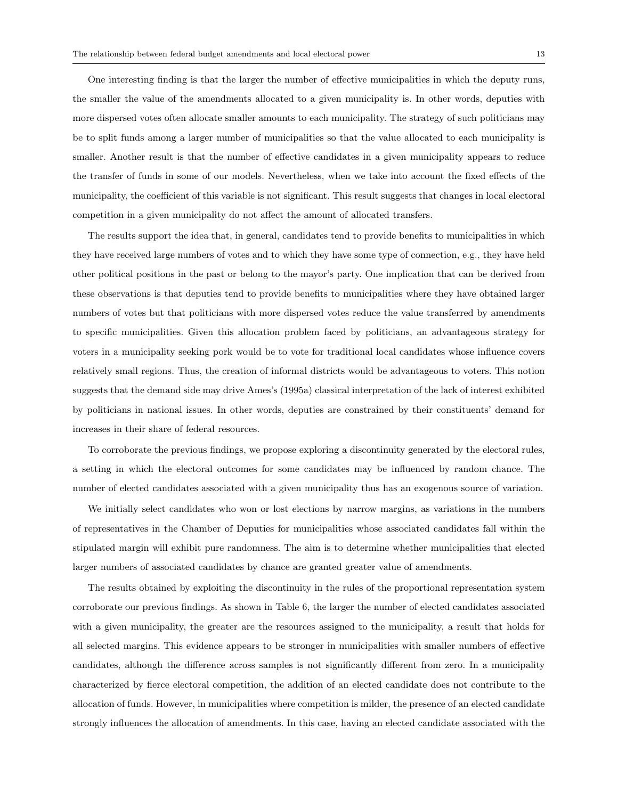One interesting finding is that the larger the number of effective municipalities in which the deputy runs, the smaller the value of the amendments allocated to a given municipality is. In other words, deputies with more dispersed votes often allocate smaller amounts to each municipality. The strategy of such politicians may be to split funds among a larger number of municipalities so that the value allocated to each municipality is smaller. Another result is that the number of effective candidates in a given municipality appears to reduce the transfer of funds in some of our models. Nevertheless, when we take into account the fixed effects of the municipality, the coefficient of this variable is not significant. This result suggests that changes in local electoral competition in a given municipality do not affect the amount of allocated transfers.

The results support the idea that, in general, candidates tend to provide benefits to municipalities in which they have received large numbers of votes and to which they have some type of connection, e.g., they have held other political positions in the past or belong to the mayor's party. One implication that can be derived from these observations is that deputies tend to provide benefits to municipalities where they have obtained larger numbers of votes but that politicians with more dispersed votes reduce the value transferred by amendments to specific municipalities. Given this allocation problem faced by politicians, an advantageous strategy for voters in a municipality seeking pork would be to vote for traditional local candidates whose influence covers relatively small regions. Thus, the creation of informal districts would be advantageous to voters. This notion suggests that the demand side may drive Ames's (1995a) classical interpretation of the lack of interest exhibited by politicians in national issues. In other words, deputies are constrained by their constituents' demand for increases in their share of federal resources.

To corroborate the previous findings, we propose exploring a discontinuity generated by the electoral rules, a setting in which the electoral outcomes for some candidates may be influenced by random chance. The number of elected candidates associated with a given municipality thus has an exogenous source of variation.

We initially select candidates who won or lost elections by narrow margins, as variations in the numbers of representatives in the Chamber of Deputies for municipalities whose associated candidates fall within the stipulated margin will exhibit pure randomness. The aim is to determine whether municipalities that elected larger numbers of associated candidates by chance are granted greater value of amendments.

The results obtained by exploiting the discontinuity in the rules of the proportional representation system corroborate our previous findings. As shown in Table 6, the larger the number of elected candidates associated with a given municipality, the greater are the resources assigned to the municipality, a result that holds for all selected margins. This evidence appears to be stronger in municipalities with smaller numbers of effective candidates, although the difference across samples is not significantly different from zero. In a municipality characterized by fierce electoral competition, the addition of an elected candidate does not contribute to the allocation of funds. However, in municipalities where competition is milder, the presence of an elected candidate strongly influences the allocation of amendments. In this case, having an elected candidate associated with the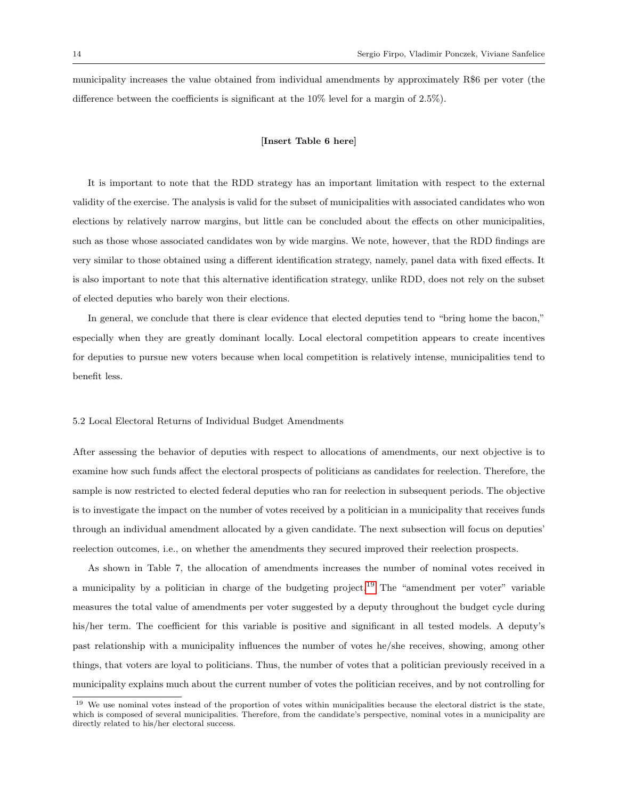municipality increases the value obtained from individual amendments by approximately R\$6 per voter (the difference between the coefficients is significant at the 10% level for a margin of 2.5%).

#### [Insert Table 6 here]

It is important to note that the RDD strategy has an important limitation with respect to the external validity of the exercise. The analysis is valid for the subset of municipalities with associated candidates who won elections by relatively narrow margins, but little can be concluded about the effects on other municipalities, such as those whose associated candidates won by wide margins. We note, however, that the RDD findings are very similar to those obtained using a different identification strategy, namely, panel data with fixed effects. It is also important to note that this alternative identification strategy, unlike RDD, does not rely on the subset of elected deputies who barely won their elections.

In general, we conclude that there is clear evidence that elected deputies tend to "bring home the bacon," especially when they are greatly dominant locally. Local electoral competition appears to create incentives for deputies to pursue new voters because when local competition is relatively intense, municipalities tend to benefit less.

#### 5.2 Local Electoral Returns of Individual Budget Amendments

After assessing the behavior of deputies with respect to allocations of amendments, our next objective is to examine how such funds affect the electoral prospects of politicians as candidates for reelection. Therefore, the sample is now restricted to elected federal deputies who ran for reelection in subsequent periods. The objective is to investigate the impact on the number of votes received by a politician in a municipality that receives funds through an individual amendment allocated by a given candidate. The next subsection will focus on deputies' reelection outcomes, i.e., on whether the amendments they secured improved their reelection prospects.

As shown in Table 7, the allocation of amendments increases the number of nominal votes received in a municipality by a politician in charge of the budgeting project.19 The "amendment per voter" variable measures the total value of amendments per voter suggested by a deputy throughout the budget cycle during his/her term. The coefficient for this variable is positive and significant in all tested models. A deputy's past relationship with a municipality influences the number of votes he/she receives, showing, among other things, that voters are loyal to politicians. Thus, the number of votes that a politician previously received in a municipality explains much about the current number of votes the politician receives, and by not controlling for

<sup>&</sup>lt;sup>19</sup> We use nominal votes instead of the proportion of votes within municipalities because the electoral district is the state, which is composed of several municipalities. Therefore, from the candidate's perspective, nominal votes in a municipality are directly related to his/her electoral success.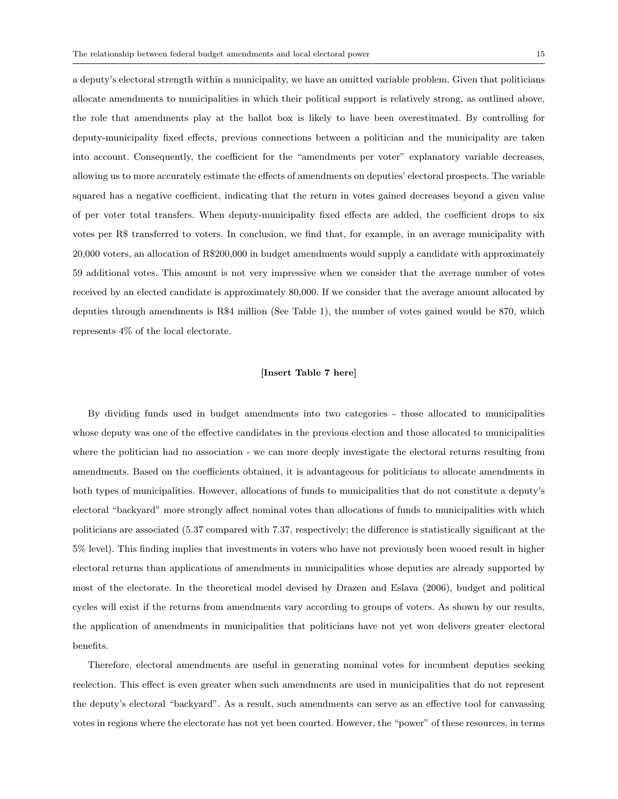a deputy's electoral strength within a municipality, we have an omitted variable problem. Given that politicians allocate amendments to municipalities in which their political support is relatively strong, as outlined above, the role that amendments play at the ballot box is likely to have been overestimated. By controlling for deputy-municipality fixed effects, previous connections between a politician and the municipality are taken into account. Consequently, the coefficient for the "amendments per voter" explanatory variable decreases, allowing us to more accurately estimate the effects of amendments on deputies' electoral prospects. The variable squared has a negative coefficient, indicating that the return in votes gained decreases beyond a given value of per voter total transfers. When deputy-municipality fixed effects are added, the coefficient drops to six votes per R\$ transferred to voters. In conclusion, we find that, for example, in an average municipality with 20,000 voters, an allocation of R\$200,000 in budget amendments would supply a candidate with approximately 59 additional votes. This amount is not very impressive when we consider that the average number of votes received by an elected candidate is approximately 80,000. If we consider that the average amount allocated by deputies through amendments is R\$4 million (See Table 1), the number of votes gained would be 870, which represents 4% of the local electorate.

#### [Insert Table 7 here]

By dividing funds used in budget amendments into two categories - those allocated to municipalities whose deputy was one of the effective candidates in the previous election and those allocated to municipalities where the politician had no association - we can more deeply investigate the electoral returns resulting from amendments. Based on the coefficients obtained, it is advantageous for politicians to allocate amendments in both types of municipalities. However, allocations of funds to municipalities that do not constitute a deputy's electoral "backyard" more strongly affect nominal votes than allocations of funds to municipalities with which politicians are associated (5.37 compared with 7.37, respectively; the difference is statistically significant at the 5% level). This finding implies that investments in voters who have not previously been wooed result in higher electoral returns than applications of amendments in municipalities whose deputies are already supported by most of the electorate. In the theoretical model devised by Drazen and Eslava (2006), budget and political cycles will exist if the returns from amendments vary according to groups of voters. As shown by our results, the application of amendments in municipalities that politicians have not yet won delivers greater electoral benefits.

Therefore, electoral amendments are useful in generating nominal votes for incumbent deputies seeking reelection. This effect is even greater when such amendments are used in municipalities that do not represent the deputy's electoral "backyard". As a result, such amendments can serve as an effective tool for canvassing votes in regions where the electorate has not yet been courted. However, the "power" of these resources, in terms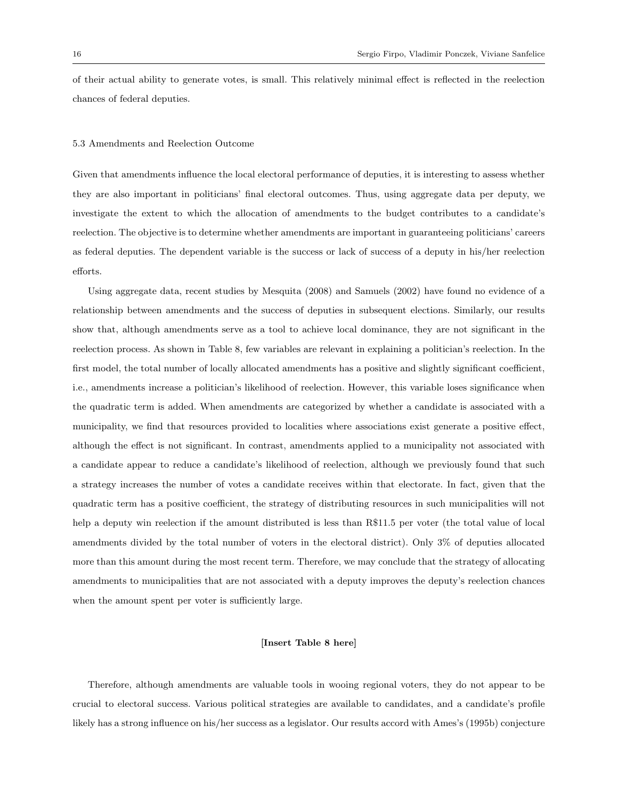of their actual ability to generate votes, is small. This relatively minimal effect is reflected in the reelection chances of federal deputies.

#### 5.3 Amendments and Reelection Outcome

Given that amendments influence the local electoral performance of deputies, it is interesting to assess whether they are also important in politicians' final electoral outcomes. Thus, using aggregate data per deputy, we investigate the extent to which the allocation of amendments to the budget contributes to a candidate's reelection. The objective is to determine whether amendments are important in guaranteeing politicians' careers as federal deputies. The dependent variable is the success or lack of success of a deputy in his/her reelection efforts.

Using aggregate data, recent studies by Mesquita (2008) and Samuels (2002) have found no evidence of a relationship between amendments and the success of deputies in subsequent elections. Similarly, our results show that, although amendments serve as a tool to achieve local dominance, they are not significant in the reelection process. As shown in Table 8, few variables are relevant in explaining a politician's reelection. In the first model, the total number of locally allocated amendments has a positive and slightly significant coefficient, i.e., amendments increase a politician's likelihood of reelection. However, this variable loses significance when the quadratic term is added. When amendments are categorized by whether a candidate is associated with a municipality, we find that resources provided to localities where associations exist generate a positive effect, although the effect is not significant. In contrast, amendments applied to a municipality not associated with a candidate appear to reduce a candidate's likelihood of reelection, although we previously found that such a strategy increases the number of votes a candidate receives within that electorate. In fact, given that the quadratic term has a positive coefficient, the strategy of distributing resources in such municipalities will not help a deputy win reelection if the amount distributed is less than R\$11.5 per voter (the total value of local amendments divided by the total number of voters in the electoral district). Only 3% of deputies allocated more than this amount during the most recent term. Therefore, we may conclude that the strategy of allocating amendments to municipalities that are not associated with a deputy improves the deputy's reelection chances when the amount spent per voter is sufficiently large.

#### [Insert Table 8 here]

Therefore, although amendments are valuable tools in wooing regional voters, they do not appear to be crucial to electoral success. Various political strategies are available to candidates, and a candidate's profile likely has a strong influence on his/her success as a legislator. Our results accord with Ames's (1995b) conjecture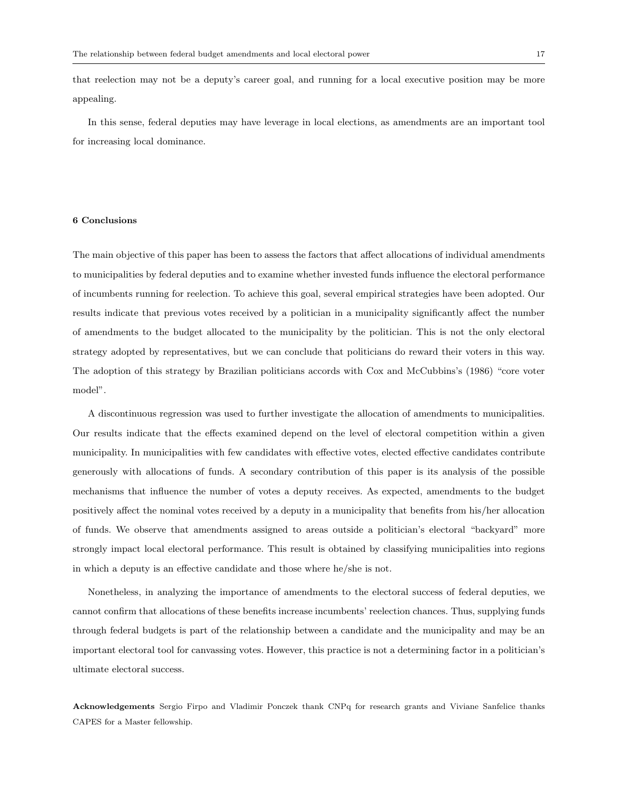that reelection may not be a deputy's career goal, and running for a local executive position may be more appealing.

In this sense, federal deputies may have leverage in local elections, as amendments are an important tool for increasing local dominance.

#### 6 Conclusions

The main objective of this paper has been to assess the factors that affect allocations of individual amendments to municipalities by federal deputies and to examine whether invested funds influence the electoral performance of incumbents running for reelection. To achieve this goal, several empirical strategies have been adopted. Our results indicate that previous votes received by a politician in a municipality significantly affect the number of amendments to the budget allocated to the municipality by the politician. This is not the only electoral strategy adopted by representatives, but we can conclude that politicians do reward their voters in this way. The adoption of this strategy by Brazilian politicians accords with Cox and McCubbins's (1986) "core voter model".

A discontinuous regression was used to further investigate the allocation of amendments to municipalities. Our results indicate that the effects examined depend on the level of electoral competition within a given municipality. In municipalities with few candidates with effective votes, elected effective candidates contribute generously with allocations of funds. A secondary contribution of this paper is its analysis of the possible mechanisms that influence the number of votes a deputy receives. As expected, amendments to the budget positively affect the nominal votes received by a deputy in a municipality that benefits from his/her allocation of funds. We observe that amendments assigned to areas outside a politician's electoral "backyard" more strongly impact local electoral performance. This result is obtained by classifying municipalities into regions in which a deputy is an effective candidate and those where he/she is not.

Nonetheless, in analyzing the importance of amendments to the electoral success of federal deputies, we cannot confirm that allocations of these benefits increase incumbents' reelection chances. Thus, supplying funds through federal budgets is part of the relationship between a candidate and the municipality and may be an important electoral tool for canvassing votes. However, this practice is not a determining factor in a politician's ultimate electoral success.

Acknowledgements Sergio Firpo and Vladimir Ponczek thank CNPq for research grants and Viviane Sanfelice thanks CAPES for a Master fellowship.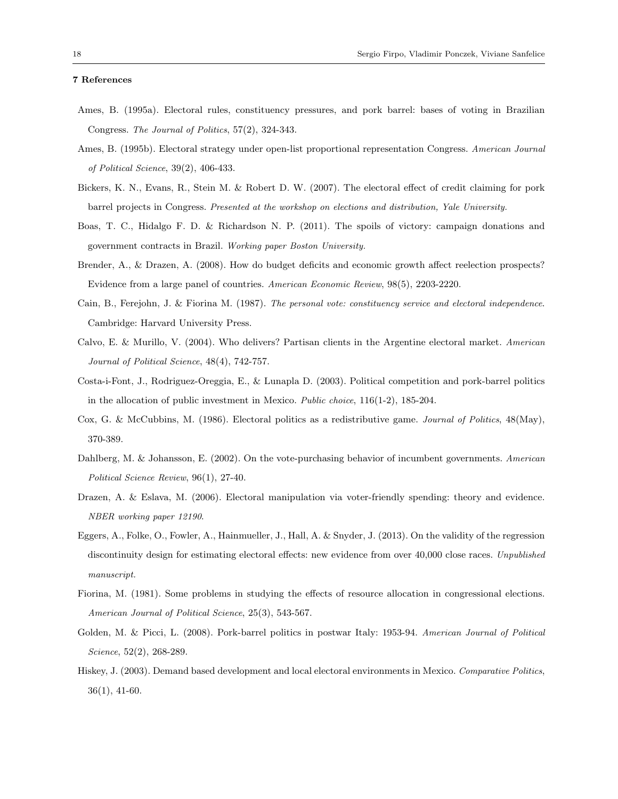#### 7 References

- Ames, B. (1995a). Electoral rules, constituency pressures, and pork barrel: bases of voting in Brazilian Congress. The Journal of Politics, 57(2), 324-343.
- Ames, B. (1995b). Electoral strategy under open-list proportional representation Congress. American Journal of Political Science, 39(2), 406-433.
- Bickers, K. N., Evans, R., Stein M. & Robert D. W. (2007). The electoral effect of credit claiming for pork barrel projects in Congress. Presented at the workshop on elections and distribution, Yale University.
- Boas, T. C., Hidalgo F. D. & Richardson N. P. (2011). The spoils of victory: campaign donations and government contracts in Brazil. Working paper Boston University.
- Brender, A., & Drazen, A. (2008). How do budget deficits and economic growth affect reelection prospects? Evidence from a large panel of countries. American Economic Review, 98(5), 2203-2220.
- Cain, B., Ferejohn, J. & Fiorina M. (1987). The personal vote: constituency service and electoral independence. Cambridge: Harvard University Press.
- Calvo, E. & Murillo, V. (2004). Who delivers? Partisan clients in the Argentine electoral market. American Journal of Political Science, 48(4), 742-757.
- Costa-i-Font, J., Rodriguez-Oreggia, E., & Lunapla D. (2003). Political competition and pork-barrel politics in the allocation of public investment in Mexico. Public choice, 116(1-2), 185-204.
- Cox, G. & McCubbins, M. (1986). Electoral politics as a redistributive game. Journal of Politics, 48(May), 370-389.
- Dahlberg, M. & Johansson, E. (2002). On the vote-purchasing behavior of incumbent governments. American Political Science Review, 96(1), 27-40.
- Drazen, A. & Eslava, M. (2006). Electoral manipulation via voter-friendly spending: theory and evidence. NBER working paper 12190.
- Eggers, A., Folke, O., Fowler, A., Hainmueller, J., Hall, A. & Snyder, J. (2013). On the validity of the regression discontinuity design for estimating electoral effects: new evidence from over 40,000 close races. Unpublished manuscript.
- Fiorina, M. (1981). Some problems in studying the effects of resource allocation in congressional elections. American Journal of Political Science, 25(3), 543-567.
- Golden, M. & Picci, L. (2008). Pork-barrel politics in postwar Italy: 1953-94. American Journal of Political Science, 52(2), 268-289.
- Hiskey, J. (2003). Demand based development and local electoral environments in Mexico. Comparative Politics, 36(1), 41-60.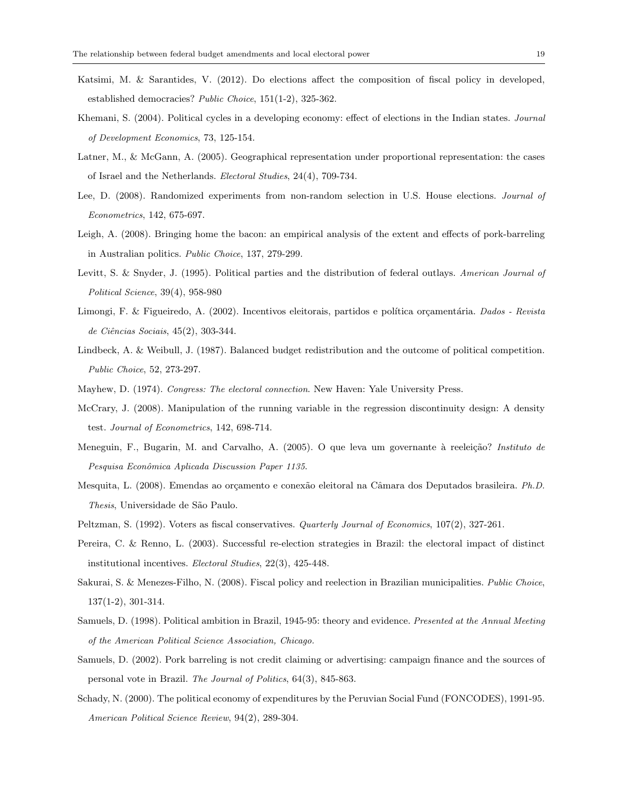- Katsimi, M. & Sarantides, V. (2012). Do elections affect the composition of fiscal policy in developed, established democracies? Public Choice, 151(1-2), 325-362.
- Khemani, S. (2004). Political cycles in a developing economy: effect of elections in the Indian states. Journal of Development Economics, 73, 125-154.
- Latner, M., & McGann, A. (2005). Geographical representation under proportional representation: the cases of Israel and the Netherlands. Electoral Studies, 24(4), 709-734.
- Lee, D. (2008). Randomized experiments from non-random selection in U.S. House elections. Journal of Econometrics, 142, 675-697.
- Leigh, A. (2008). Bringing home the bacon: an empirical analysis of the extent and effects of pork-barreling in Australian politics. Public Choice, 137, 279-299.
- Levitt, S. & Snyder, J. (1995). Political parties and the distribution of federal outlays. American Journal of Political Science, 39(4), 958-980
- Limongi, F. & Figueiredo, A. (2002). Incentivos eleitorais, partidos e política orçamentária. Dados Revista de Ciências Sociais, 45(2), 303-344.
- Lindbeck, A. & Weibull, J. (1987). Balanced budget redistribution and the outcome of political competition. Public Choice, 52, 273-297.
- Mayhew, D. (1974). Congress: The electoral connection. New Haven: Yale University Press.
- McCrary, J. (2008). Manipulation of the running variable in the regression discontinuity design: A density test. Journal of Econometrics, 142, 698-714.
- Meneguin, F., Bugarin, M. and Carvalho, A. (2005). O que leva um governante à reeleição? Instituto de Pesquisa Econômica Aplicada Discussion Paper 1135.
- Mesquita, L. (2008). Emendas ao orçamento e conexão eleitoral na Câmara dos Deputados brasileira. Ph.D. Thesis, Universidade de São Paulo.
- Peltzman, S. (1992). Voters as fiscal conservatives. Quarterly Journal of Economics, 107(2), 327-261.
- Pereira, C. & Renno, L. (2003). Successful re-election strategies in Brazil: the electoral impact of distinct institutional incentives. Electoral Studies, 22(3), 425-448.
- Sakurai, S. & Menezes-Filho, N. (2008). Fiscal policy and reelection in Brazilian municipalities. Public Choice, 137(1-2), 301-314.
- Samuels, D. (1998). Political ambition in Brazil, 1945-95: theory and evidence. Presented at the Annual Meeting of the American Political Science Association, Chicago.
- Samuels, D. (2002). Pork barreling is not credit claiming or advertising: campaign finance and the sources of personal vote in Brazil. The Journal of Politics, 64(3), 845-863.
- Schady, N. (2000). The political economy of expenditures by the Peruvian Social Fund (FONCODES), 1991-95. American Political Science Review, 94(2), 289-304.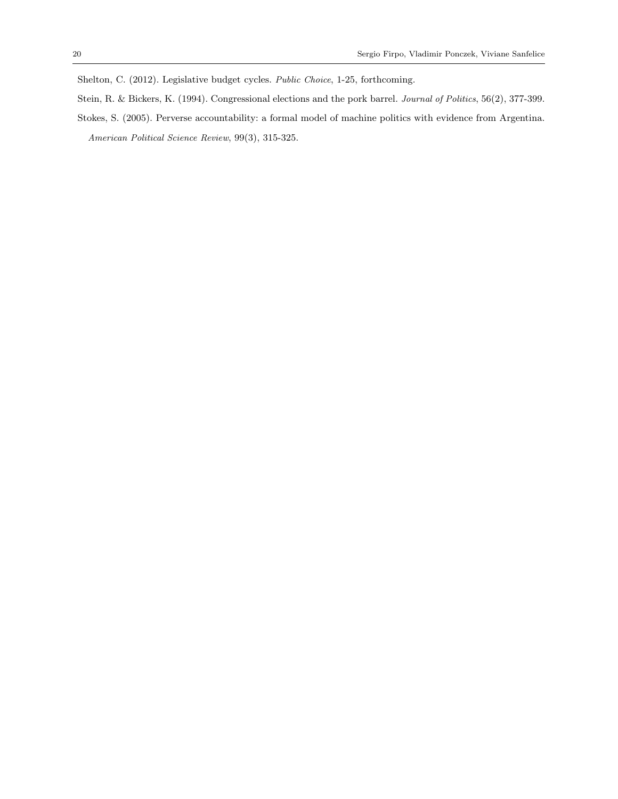Shelton, C. (2012). Legislative budget cycles. Public Choice, 1-25, forthcoming.

- Stein, R. & Bickers, K. (1994). Congressional elections and the pork barrel. Journal of Politics, 56(2), 377-399.
- Stokes, S. (2005). Perverse accountability: a formal model of machine politics with evidence from Argentina. American Political Science Review, 99(3), 315-325.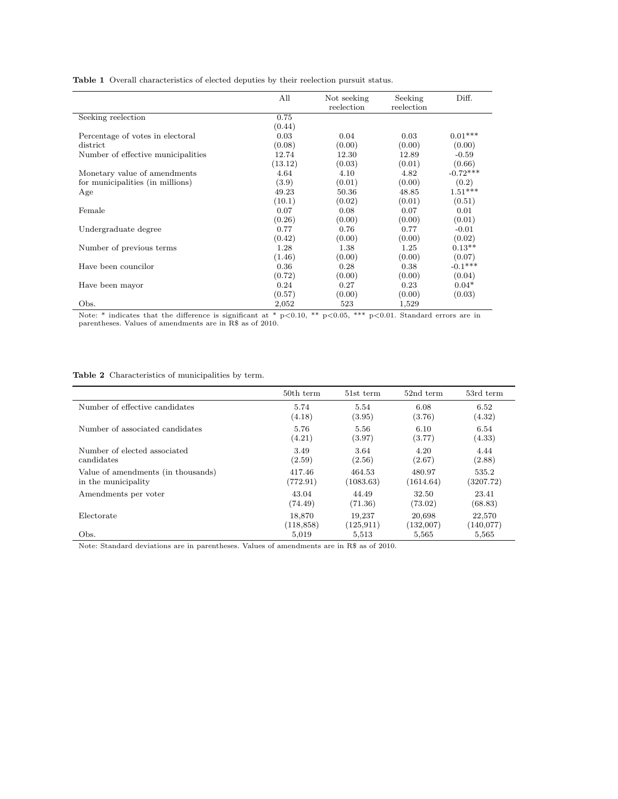| <b>Table 1</b> Overall characteristics of elected deputies by their reelection pursuit status. |  |
|------------------------------------------------------------------------------------------------|--|
|------------------------------------------------------------------------------------------------|--|

|                                    | All     | Not seeking<br>reelection | Seeking<br>reelection | Diff.      |
|------------------------------------|---------|---------------------------|-----------------------|------------|
| Seeking reelection                 | 0.75    |                           |                       |            |
|                                    | (0.44)  |                           |                       |            |
| Percentage of votes in electoral   | 0.03    | 0.04                      | 0.03                  | $0.01***$  |
| district                           | (0.08)  | (0.00)                    | (0.00)                | (0.00)     |
| Number of effective municipalities | 12.74   | 12.30                     | 12.89                 | $-0.59$    |
|                                    | (13.12) | (0.03)                    | (0.01)                | (0.66)     |
| Monetary value of amendments       | 4.64    | 4.10                      | 4.82                  | $-0.72***$ |
| for municipalities (in millions)   | (3.9)   | (0.01)                    | (0.00)                | (0.2)      |
| Age                                | 49.23   | 50.36                     | 48.85                 | $1.51***$  |
|                                    | (10.1)  | (0.02)                    | (0.01)                | (0.51)     |
| Female                             | 0.07    | 0.08                      | 0.07                  | 0.01       |
|                                    | (0.26)  | (0.00)                    | (0.00)                | (0.01)     |
| Undergraduate degree               | 0.77    | 0.76                      | 0.77                  | $-0.01$    |
|                                    | (0.42)  | (0.00)                    | (0.00)                | (0.02)     |
| Number of previous terms           | 1.28    | 1.38                      | 1.25                  | $0.13**$   |
|                                    | (1.46)  | (0.00)                    | (0.00)                | (0.07)     |
| Have been councilor                | 0.36    | 0.28                      | 0.38                  | $-0.1***$  |
|                                    | (0.72)  | (0.00)                    | (0.00)                | (0.04)     |
| Have been mayor                    | 0.24    | 0.27                      | 0.23                  | $0.04*$    |
|                                    | (0.57)  | (0.00)                    | (0.00)                | (0.03)     |
| Obs.                               | 2,052   | 523                       | 1,529                 |            |

Note: \* indicates that the difference is significant at \* p<0.10, \*\* p<0.05, \*\*\* p<0.01. Standard errors are in<br>parentheses. Values of amendments are in R\$ as of 2010.

Table 2 Characteristics of municipalities by term.

|                                    | 50th term  | 51st term  | 52nd term | 53rd term |
|------------------------------------|------------|------------|-----------|-----------|
| Number of effective candidates     | 5.74       | 5.54       | 6.08      | 6.52      |
|                                    | (4.18)     | (3.95)     | (3.76)    | (4.32)    |
| Number of associated candidates    | 5.76       | 5.56       | 6.10      | 6.54      |
|                                    | (4.21)     | (3.97)     | (3.77)    | (4.33)    |
| Number of elected associated       | 3.49       | 3.64       | 4.20      | 4.44      |
| candidates                         | (2.59)     | (2.56)     | (2.67)    | (2.88)    |
| Value of amendments (in thousands) | 417.46     | 464.53     | 480.97    | 535.2     |
| in the municipality                | (772.91)   | (1083.63)  | (1614.64) | (3207.72) |
| Amendments per voter               | 43.04      | 44.49      | 32.50     | 23.41     |
|                                    | (74.49)    | (71.36)    | (73.02)   | (68.83)   |
| Electorate                         | 18,870     | 19.237     | 20,698    | 22,570    |
|                                    | (118, 858) | (125, 911) | (132,007) | (140,077) |
| Obs.                               | 5,019      | 5,513      | 5,565     | 5,565     |

Note: Standard deviations are in parentheses. Values of amendments are in R\$ as of 2010.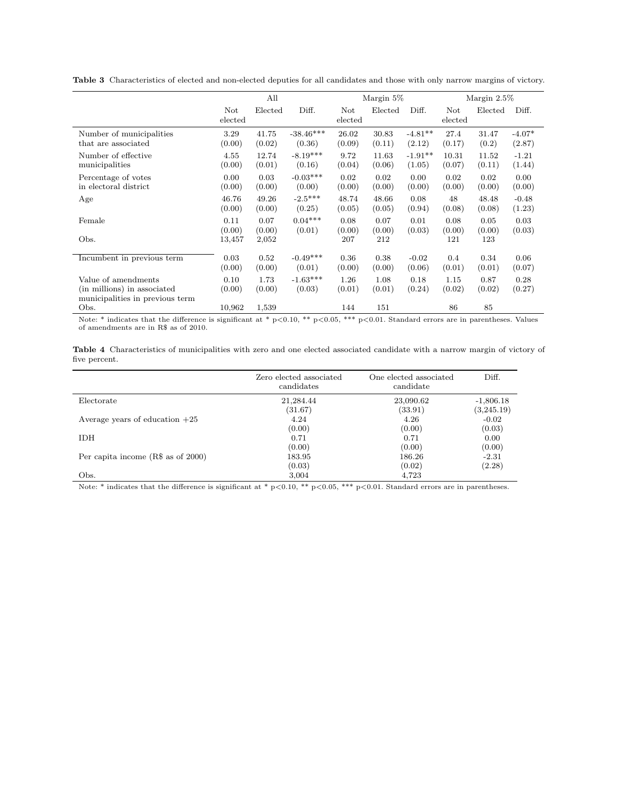|  | Table 3 Characteristics of elected and non-elected deputies for all candidates and those with only narrow margins of victory. |  |  |  |  |  |  |  |  |  |  |  |
|--|-------------------------------------------------------------------------------------------------------------------------------|--|--|--|--|--|--|--|--|--|--|--|
|--|-------------------------------------------------------------------------------------------------------------------------------|--|--|--|--|--|--|--|--|--|--|--|

|                                                                                       | All                   |                |                      |                | Margin 5%      |                | Margin $2.5\%$ |                |                |
|---------------------------------------------------------------------------------------|-----------------------|----------------|----------------------|----------------|----------------|----------------|----------------|----------------|----------------|
|                                                                                       | <b>Not</b><br>elected | Elected        | Diff.                | Not<br>elected | Elected        | Diff.          | Not<br>elected | Elected        | Diff.          |
| Number of municipalities                                                              | 3.29                  | 41.75          | $-38.46***$          | 26.02          | 30.83          | $-4.81**$      | 27.4           | 31.47          | $-4.07*$       |
| that are associated                                                                   | (0.00)                | (0.02)         | (0.36)               | (0.09)         | (0.11)         | (2.12)         | (0.17)         | (0.2)          | (2.87)         |
| Number of effective                                                                   | 4.55                  | 12.74          | $-8.19***$           | 9.72           | 11.63          | $-1.91**$      | 10.31          | 11.52          | $-1.21$        |
| municipalities                                                                        | (0.00)                | (0.01)         | (0.16)               | (0.04)         | (0.06)         | (1.05)         | (0.07)         | (0.11)         | (1.44)         |
| Percentage of votes                                                                   | 0.00                  | 0.03           | $-0.03***$           | 0.02           | 0.02           | 0.00           | 0.02           | 0.02           | 0.00           |
| in electoral district                                                                 | (0.00)                | (0.00)         | (0.00)               | (0.00)         | (0.00)         | (0.00)         | (0.00)         | (0.00)         | (0.00)         |
| Age                                                                                   | 46.76                 | 49.26          | $-2.5***$            | 48.74          | 48.66          | 0.08           | 48             | 48.48          | $-0.48$        |
|                                                                                       | (0.00)                | (0.00)         | (0.25)               | (0.05)         | (0.05)         | (0.94)         | (0.08)         | (0.08)         | (1.23)         |
| Female                                                                                | 0.11                  | 0.07           | $0.04***$            | 0.08           | 0.07           | 0.01           | 0.08           | 0.05           | 0.03           |
|                                                                                       | (0.00)                | (0.00)         | (0.01)               | (0.00)         | (0.00)         | (0.03)         | (0.00)         | (0.00)         | (0.03)         |
| Obs.                                                                                  | 13,457                | 2,052          |                      | 207            | 212            |                | 121            | 123            |                |
| Incumbent in previous term                                                            | 0.03                  | 0.52           | $-0.49***$           | 0.36           | 0.38           | $-0.02$        | 0.4            | 0.34           | 0.06           |
|                                                                                       | (0.00)                | (0.00)         | (0.01)               | (0.00)         | (0.00)         | (0.06)         | (0.01)         | (0.01)         | (0.07)         |
| Value of amendments<br>(in millions) in associated<br>municipalities in previous term | 0.10<br>(0.00)        | 1.73<br>(0.00) | $-1.63***$<br>(0.03) | 1.26<br>(0.01) | 1.08<br>(0.01) | 0.18<br>(0.24) | 1.15<br>(0.02) | 0.87<br>(0.02) | 0.28<br>(0.27) |
| Obs.                                                                                  | 10,962                | 1,539          |                      | 144            | 151            |                | 86             | 85             |                |

Note: \* indicates that the difference is significant at \* p<0.10, \*\* p<0.05, \*\*\* p<0.01. Standard errors are in parentheses. Values of amendments are in R\$ as of 2010.

|               | Table 4 Characteristics of municipalities with zero and one elected associated candidate with a narrow margin of victory of |  |  |  |  |  |  |  |
|---------------|-----------------------------------------------------------------------------------------------------------------------------|--|--|--|--|--|--|--|
| five percent. |                                                                                                                             |  |  |  |  |  |  |  |

|                                     | Zero elected associated<br>candidates | One elected associated<br>candidate | Diff.                     |
|-------------------------------------|---------------------------------------|-------------------------------------|---------------------------|
| Electorate                          | 21,284.44<br>(31.67)                  | 23,090.62<br>(33.91)                | $-1,806.18$<br>(3,245.19) |
| Average years of education $+25$    | 4.24<br>(0.00)                        | 4.26<br>(0.00)                      | $-0.02$<br>(0.03)         |
| <b>IDH</b>                          | 0.71<br>(0.00)                        | 0.71<br>(0.00)                      | 0.00<br>(0.00)            |
| Per capita income $(R$$ as of 2000) | 183.95                                | 186.26                              | $-2.31$                   |
| Obs.                                | (0.03)<br>3,004                       | (0.02)<br>4,723                     | (2.28)                    |

Note: \* indicates that the difference is significant at \*  $p<0.10$ , \*\*  $p<0.05$ , \*\*\*  $p<0.01$ . Standard errors are in parentheses.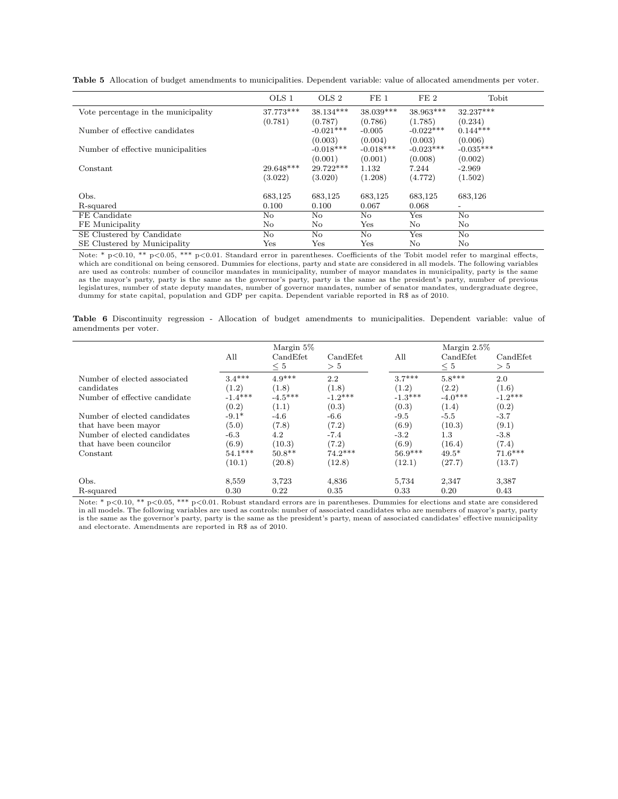|                                     | OLS 1        | OLS 2                  | FE <sub>1</sub>        | FE2                    | Tobit                    |
|-------------------------------------|--------------|------------------------|------------------------|------------------------|--------------------------|
| Vote percentage in the municipality | 37.773***    | $38.134***$            | $38.039***$            | 38.963***              | 32.237***                |
|                                     | (0.781)      | (0.787)                | (0.786)                | (1.785)                | (0.234)                  |
| Number of effective candidates      |              | $-0.021***$            | $-0.005$               | $-0.022***$            | $0.144***$               |
| Number of effective municipalities  |              | (0.003)<br>$-0.018***$ | (0.004)<br>$-0.018***$ | (0.003)<br>$-0.023***$ | (0.006)<br>$-0.035***$   |
|                                     |              | (0.001)                | (0.001)                | (0.008)                | (0.002)                  |
| Constant                            | 29.648***    | $29.722***$            | 1.132                  | 7.244                  | $-2.969$                 |
|                                     | (3.022)      | (3.020)                | (1.208)                | (4.772)                | (1.502)                  |
| Obs.                                | 683,125      | 683,125                | 683,125                | 683,125                | 683,126                  |
| R-squared                           | 0.100        | 0.100                  | 0.067                  | 0.068                  | $\overline{\phantom{a}}$ |
| FE Candidate                        | No           | No                     | No                     | Yes                    | No                       |
| FE Municipality                     | No           | No                     | Yes                    | No                     | No                       |
| SE Clustered by Candidate           | No           | No.                    | No                     | Yes                    | No                       |
| SE Clustered by Municipality        | $_{\rm Yes}$ | $_{\rm Yes}$           | $_{\rm Yes}$           | No                     | No                       |

Table 5 Allocation of budget amendments to municipalities. Dependent variable: value of allocated amendments per voter.

Note: \* p<0.10, \*\* p<0.05, \*\*\* p<0.01. Standard error in parentheses. Coefficients of the Tobit model refer to marginal effects, which are conditional on being censored. Dummies for elections, party and state are considered in all models. The following variables are used as controls: number of councilor mandates in municipality, number of mayor mandates in municipality, party is the same as the mayor's party, party is the same as the governor's party, party is the same as the president's party, number of previous legislatures, number of state deputy mandates, number of governor mandates, number of senator mandates, undergraduate degree, dummy for state capital, population and GDP per capita. Dependent variable reported in R\$ as of 2010.

Table 6 Discontinuity regression - Allocation of budget amendments to municipalities. Dependent variable: value of amendments per voter.

|                                                      | All                | Margin 5\%<br>CandEfet<br>$\leq 5$ | CandEfet<br>> 5    | All                | Margin $2.5\%$<br>CandEfet<br>$\leq 5$ | CandEfet<br>> 5    |
|------------------------------------------------------|--------------------|------------------------------------|--------------------|--------------------|----------------------------------------|--------------------|
| Number of elected associated<br>candidates           | $3.4***$<br>(1.2)  | $4.9***$<br>(1.8)                  | 2.2<br>(1.8)       | $3.7***$<br>(1.2)  | $5.8***$<br>(2.2)                      | 2.0<br>(1.6)       |
| Number of effective candidate                        | $-1.4***$<br>(0.2) | $-4.5***$<br>(1.1)                 | $-1.2***$<br>(0.3) | $-1.3***$<br>(0.3) | $-4.0***$<br>(1.4)                     | $-1.2***$<br>(0.2) |
| Number of elected candidates                         | $-9.1*$            | $-4.6$                             | -6.6               | $-9.5$             | $-5.5$                                 | $-3.7$             |
| that have been mayor<br>Number of elected candidates | (5.0)<br>$-6.3$    | (7.8)<br>4.2                       | (7.2)<br>$-7.4$    | (6.9)<br>$-3.2$    | (10.3)<br>$1.3\,$                      | (9.1)<br>$-3.8$    |
| that have been councilor                             | (6.9)<br>$54.1***$ | (10.3)<br>$50.8**$                 | (7.2)<br>$74.2***$ | (6.9)<br>$56.9***$ | (16.4)<br>$49.5*$                      | (7.4)<br>$71.6***$ |
| Constant                                             | (10.1)             | (20.8)                             | (12.8)             | (12.1)             | (27.7)                                 | (13.7)             |
| Obs.                                                 | 8,559              | 3,723                              | 4,836              | 5.734              | 2,347                                  | 3,387              |
| R-squared                                            | 0.30               | 0.22                               | 0.35               | 0.33               | 0.20                                   | 0.43               |

Note: \* p<0.10, \*\* p<0.05, \*\*\* p<0.01. Robust standard errors are in parentheses. Dummies for elections and state are considered in all models. The following variables are used as controls: number of associated candidates who are members of mayor's party, party is the same as the governor's party, party is the same as the president's party, mean of associated candidates' effective municipality and electorate. Amendments are reported in R\$ as of 2010.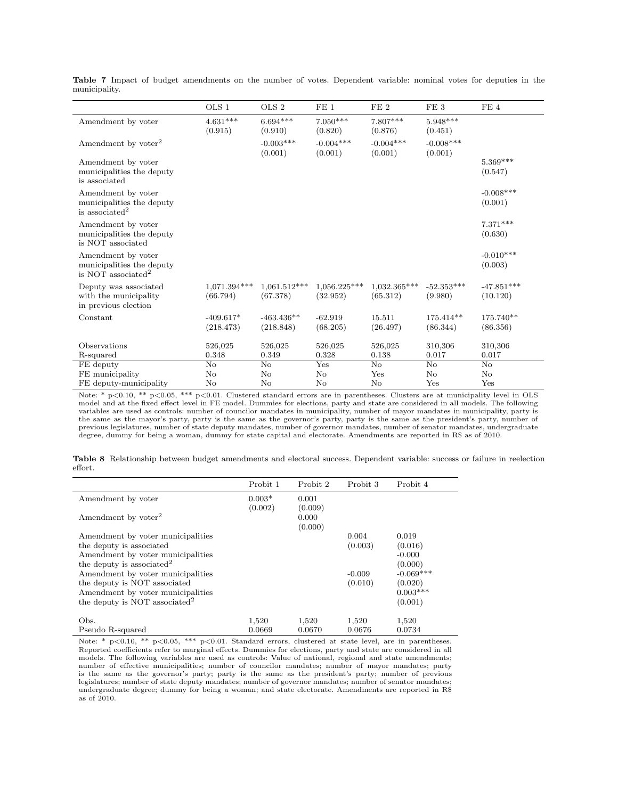|                                                                                   | OLS 1                    | OLS <sub>2</sub>           | FE1                        | FE <sub>2</sub>            | FE <sub>3</sub>         | FE <sub>4</sub>          |
|-----------------------------------------------------------------------------------|--------------------------|----------------------------|----------------------------|----------------------------|-------------------------|--------------------------|
| Amendment by voter                                                                | $4.631***$<br>(0.915)    | $6.694***$<br>(0.910)      | $7.050***$<br>(0.820)      | 7.807***<br>(0.876)        | $5.948***$<br>(0.451)   |                          |
| Amendment by voter <sup>2</sup>                                                   |                          | $-0.003***$<br>(0.001)     | $-0.004***$<br>(0.001)     | $-0.004***$<br>(0.001)     | $-0.008***$<br>(0.001)  |                          |
| Amendment by voter<br>municipalities the deputy<br>is associated                  |                          |                            |                            |                            |                         | $5.369***$<br>(0.547)    |
| Amendment by voter<br>municipalities the deputy<br>is associated <sup>2</sup>     |                          |                            |                            |                            |                         | $-0.008***$<br>(0.001)   |
| Amendment by voter<br>municipalities the deputy<br>is NOT associated              |                          |                            |                            |                            |                         | $7.371***$<br>(0.630)    |
| Amendment by voter<br>municipalities the deputy<br>is NOT associated <sup>2</sup> |                          |                            |                            |                            |                         | $-0.010***$<br>(0.003)   |
| Deputy was associated<br>with the municipality<br>in previous election            | 1,071.394***<br>(66.794) | $1.061.512***$<br>(67.378) | $1,056.225***$<br>(32.952) | $1,032.365***$<br>(65.312) | $-52.353***$<br>(9.980) | $-47.851***$<br>(10.120) |
| Constant                                                                          | $-409.617*$<br>(218.473) | $-463.436**$<br>(218.848)  | $-62.919$<br>(68.205)      | 15.511<br>(26.497)         | 175.414**<br>(86.344)   | 175.740**<br>(86.356)    |
| Observations                                                                      | 526,025                  | 526,025                    | 526,025                    | 526,025                    | 310,306                 | 310,306                  |
| R-squared                                                                         | 0.348                    | 0.349                      | 0.328                      | 0.138                      | 0.017                   | 0.017                    |
| FE deputy                                                                         | No                       | No                         | Yes                        | $\overline{N_{O}}$         | No                      | No                       |
| FE municipality                                                                   | No                       | No                         | $\rm No$                   | Yes                        | No                      | No                       |
| FE deputy-municipality                                                            | No                       | No                         | $\rm No$                   | No                         | Yes                     | Yes                      |

Table 7 Impact of budget amendments on the number of votes. Dependent variable: nominal votes for deputies in the municipality.

Note: \* p<0.10, \*\* p<0.05, \*\*\* p<0.01. Clustered standard errors are in parentheses. Clusters are at municipality level in OLS<br>model and at the fixed effect level in FE model. Dummies for elections, party and state are con variables are used as controls: number of councilor mandates in municipality, number of mayor mandates in municipality, party is the same as the mayor's party, party is the same as the governor's party, party is the same as the president's party, number of previous legislatures, number of state deputy mandates, number of governor mandates, number of senator mandates, undergraduate degree, dummy for being a woman, dummy for state capital and electorate. Amendments are reported in R\$ as of 2010.

|         | Table 8 Relationship between budget amendments and electoral success. Dependent variable: success or failure in reelection |  |  |  |  |  |  |
|---------|----------------------------------------------------------------------------------------------------------------------------|--|--|--|--|--|--|
| effort. |                                                                                                                            |  |  |  |  |  |  |

|                                           | Probit 1            | Probit 2         | Probit 3 | Probit 4    |
|-------------------------------------------|---------------------|------------------|----------|-------------|
| Amendment by voter                        | $0.003*$<br>(0.002) | 0.001<br>(0.009) |          |             |
| Amendment by voter <sup>2</sup>           |                     | 0.000<br>(0.000) |          |             |
| Amendment by voter municipalities         |                     |                  | 0.004    | 0.019       |
| the deputy is associated                  |                     |                  | (0.003)  | (0.016)     |
| Amendment by voter municipalities         |                     |                  |          | $-0.000$    |
| the deputy is associated <sup>2</sup>     |                     |                  |          | (0.000)     |
| Amendment by voter municipalities         |                     |                  | $-0.009$ | $-0.069***$ |
| the deputy is NOT associated              |                     |                  | (0.010)  | (0.020)     |
| Amendment by voter municipalities         |                     |                  |          | $0.003***$  |
| the deputy is NOT associated <sup>2</sup> |                     |                  |          | (0.001)     |
| Obs.                                      | 1.520               | 1,520            | 1,520    | 1,520       |
| Pseudo R-squared                          | 0.0669              | 0.0670           | 0.0676   | 0.0734      |

Note: \* p<0.10, \*\* p<0.05, \*\*\* p<0.01. Standard errors, clustered at state level, are in parentheses. Reported coefficients refer to marginal effects. Dummies for elections, party and state are considered in all models. The following variables are used as controls: Value of national, regional and state amendments; number of effective municipalities; number of councilor mandates; number of mayor mandates; party is the same as the governor's party; party is the same as the president's party; number of previous legislatures; number of state deputy mandates; number of governor mandates; number of senator mandates; undergraduate degree; dummy for being a woman; and state electorate. Amendments are reported in R\$ as of 2010.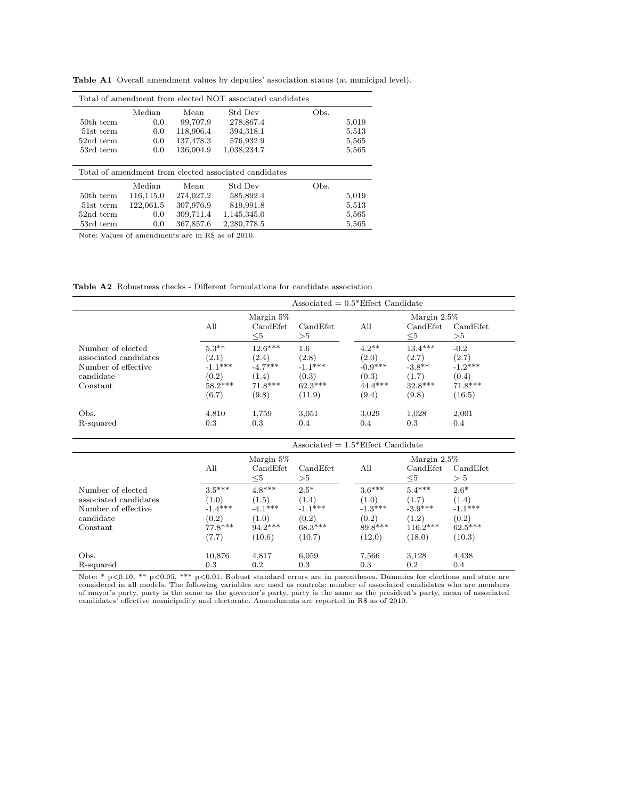| Total of amendment from elected NOT associated candidates |           |           |             |      |       |  |
|-----------------------------------------------------------|-----------|-----------|-------------|------|-------|--|
|                                                           | Median    | Mean      | Std Dev     | Obs. |       |  |
| 50th term                                                 | 0.0       | 99,707.9  | 278,867.4   |      | 5,019 |  |
| 51st term                                                 | 0.0       | 118,906.4 | 394,318.1   |      | 5,513 |  |
| 52nd term                                                 | 0.0       | 137,478.3 | 576,932.9   |      | 5,565 |  |
| 53rd term                                                 | 0.0       | 136,004.9 | 1,038,234.7 |      | 5,565 |  |
|                                                           |           |           |             |      |       |  |
| Total of amendment from elected associated candidates     |           |           |             |      |       |  |
|                                                           | Median    | Mean      | Std Dev     | Obs. |       |  |
| 50th term                                                 | 116,115.0 | 274,027.2 | 585,892.4   |      | 5,019 |  |
| 51st term                                                 | 122,061.5 | 307,976.9 | 819,991.8   |      | 5,513 |  |
| 52nd term                                                 | 0.0       | 309,711.4 | 1,145,345.0 |      | 5,565 |  |
| 53rd term                                                 | 0.0       | 367,857.6 | 2,280,778.5 |      | 5,565 |  |

Table A1 Overall amendment values by deputies' association status (at municipal level).

Note: Values of amendments are in R\$ as of 2010.

Table A2 Robustness checks - Different formulations for candidate association

|                       | Associated $= 0.5*$ Effect Candidate |                      |                |                |                      |                |  |
|-----------------------|--------------------------------------|----------------------|----------------|----------------|----------------------|----------------|--|
|                       | Margin 5\%                           |                      |                | Margin $2.5\%$ |                      |                |  |
|                       | All                                  | CandEfet<br>$\leq 5$ | CandEfet<br>>5 | All            | CandEfet<br>$\leq 5$ | CandEfet<br>>5 |  |
| Number of elected     | $5.3**$                              | $12.6***$            | $1.6\,$        | $4.2**$        | $13.4***$            | $-0.2$         |  |
| associated candidates | (2.1)                                | (2.4)                | (2.8)          | (2.0)          | (2.7)                | (2.7)          |  |
| Number of effective   | $-1.1***$                            | $-4.7***$            | $-1.1***$      | $-0.9***$      | $-3.8**$             | $-1.2***$      |  |
| candidate             | (0.2)                                | (1.4)                | (0.3)          | (0.3)          | (1.7)                | (0.4)          |  |
| Constant              | $58.2***$                            | $71.8***$            | $62.3***$      | $44.4***$      | $32.8***$            | $71.8***$      |  |
|                       | (6.7)                                | (9.8)                | (11.9)         | (9.4)          | (9.8)                | (16.5)         |  |
| Obs.                  | 4.810                                | 1.759                | 3.051          | 3.029          | 1.028                | 2,001          |  |
| R-squared             | 0.3                                  | 0.3                  | 0.4            | 0.4            | 0.3                  | 0.4            |  |

|                       | Associated $= 1.5*$ Effect Candidate |           |           |                |            |            |  |
|-----------------------|--------------------------------------|-----------|-----------|----------------|------------|------------|--|
|                       | Margin 5\%                           |           |           | Margin $2.5\%$ |            |            |  |
|                       | All                                  | CandEfet  | CandEfet  | All            | CandEfet   | Cand Efet. |  |
|                       |                                      | $\leq 5$  | $> \! 5$  |                | $\leq 5$   | > 5        |  |
| Number of elected     | $3.5***$                             | $4.8***$  | $2.5*$    | $3.6***$       | $5.4***$   | $2.6*$     |  |
| associated candidates | (1.0)                                | (1.5)     | (1.4)     | (1.0)          | (1.7)      | (1.4)      |  |
| Number of effective   | $-1.4***$                            | $-4.1***$ | $-1.1***$ | $-1.3***$      | $-3.9***$  | $-1.1***$  |  |
| candidate             | (0.2)                                | (1.0)     | (0.2)     | (0.2)          | (1.2)      | (0.2)      |  |
| Constant              | $77.8***$                            | $94.2***$ | $68.3***$ | $89.8***$      | $116.2***$ | $62.5***$  |  |
|                       | (7.7)                                | (10.6)    | (10.7)    | (12.0)         | (18.0)     | (10.3)     |  |
| Obs.                  | 10,876                               | 4,817     | 6,059     | 7,566          | 3,128      | 4,438      |  |
| R-squared             | 0.3                                  | $0.2\,$   | 0.3       | 0.3            | 0.2        | 0.4        |  |
|                       |                                      |           |           |                |            |            |  |

Note: \* p<0.10, \*\* p<0.05, \*\*\* p<0.01. Robust standard errors are in parentheses. Dummies for elections and state are<br>considered in all models. The following variables are used as controls: number of associated candidates candidates' effective municipality and electorate. Amendments are reported in R\$ as of 2010.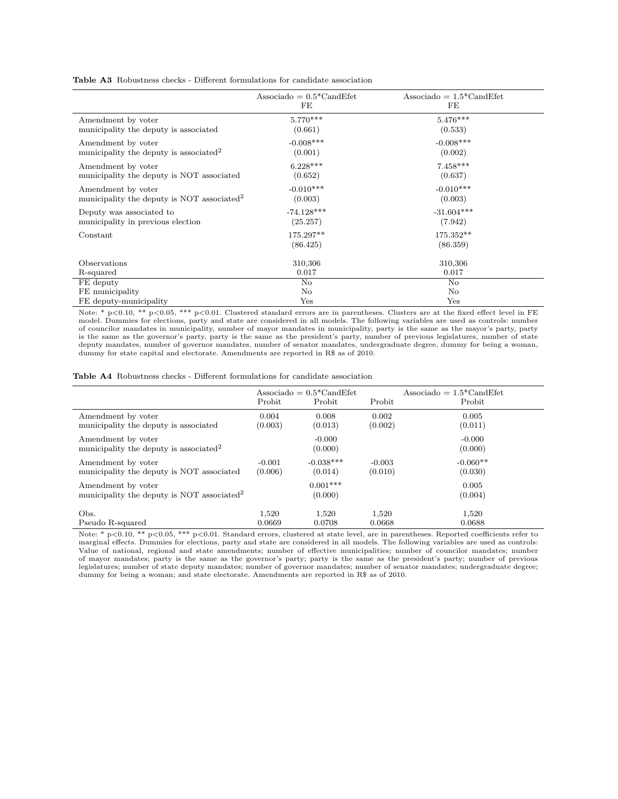Table A3 Robustness checks - Different formulations for candidate association

|                                                        | Associado = $0.5^*$ CandEfet<br>FE | Associado = $1.5^*$ CandEfet<br>FE |
|--------------------------------------------------------|------------------------------------|------------------------------------|
| Amendment by voter                                     | $5.770***$                         | $5.476***$                         |
| municipality the deputy is associated                  | (0.661)                            | (0.533)                            |
| Amendment by voter                                     | $-0.008***$                        | $-0.008$ ***                       |
| municipality the deputy is associated <sup>2</sup>     | (0.001)                            | (0.002)                            |
| Amendment by voter                                     | $6.228***$                         | $7.458***$                         |
| municipality the deputy is NOT associated              | (0.652)                            | (0.637)                            |
| Amendment by voter                                     | $-0.010***$                        | $-0.010***$                        |
| municipality the deputy is NOT associated <sup>2</sup> | (0.003)                            | (0.003)                            |
| Deputy was associated to                               | $-74.128***$                       | $-31.604***$                       |
| municipality in previous election                      | (25.257)                           | (7.942)                            |
| Constant                                               | 175.297**<br>(86.425)              | 175.352**<br>(86.359)              |
| Observations                                           | 310,306                            | 310,306                            |
| R-squared                                              | 0.017                              | 0.017                              |
| FE deputy                                              | No                                 | No                                 |
| FE municipality                                        | No                                 | No                                 |
| FE deputy-municipality                                 | Yes                                | Yes                                |

Note: \* p<0.10, \*\* p<0.05, \*\*\* p<0.01. Clustered standard errors are in parentheses. Clusters are at the fixed effect level in FE<br>model. Dummies for elections, party and state are considered in all models. The following va of councilor mandates in municipality, number of mayor mandates in municipality, party is the same as the mayor's party, party is the same as the governor's party, party is the same as the president's party, number of previous legislatures, number of state deputy mandates, number of governor mandates, number of senator mandates, undergraduate degree, dummy for being a woman, dummy for state capital and electorate. Amendments are reported in R\$ as of 2010.

| <b>Table A4</b> Robustness checks - Different formulations for candidate association |  |
|--------------------------------------------------------------------------------------|--|
|--------------------------------------------------------------------------------------|--|

|                                                                              | Probit   | Associado = $0.5^*$ CandEfet<br>Probit | Probit   | Associado = $1.5^*$ CandEfet<br>Probit |
|------------------------------------------------------------------------------|----------|----------------------------------------|----------|----------------------------------------|
| Amendment by voter                                                           | 0.004    | 0.008                                  | 0.002    | 0.005                                  |
| municipality the deputy is associated                                        | (0.003)  | (0.013)                                | (0.002)  | (0.011)                                |
| Amendment by voter<br>municipality the deputy is associated <sup>2</sup>     |          | $-0.000$<br>(0.000)                    |          | $-0.000$<br>(0.000)                    |
| Amendment by voter                                                           | $-0.001$ | $-0.038***$                            | $-0.003$ | $-0.060**$                             |
| municipality the deputy is NOT associated                                    | (0.006)  | (0.014)                                | (0.010)  | (0.030)                                |
| Amendment by voter<br>municipality the deputy is NOT associated <sup>2</sup> |          | $0.001***$<br>(0.000)                  |          | 0.005<br>(0.004)                       |
| Obs.                                                                         | 1.520    | 1,520                                  | 1,520    | 1,520                                  |
| Pseudo R-squared                                                             | 0.0669   | 0.0708                                 | 0.0668   | 0.0688                                 |

Note: \* p<0.10, \*\* p<0.05, \*\*\* p<0.01. Standard errors, clustered at state level, are in parentheses. Reported coefficients refer to marginal effects. Dummies for elections, party and state are considered in all models. The following variables are used as controls: Value of national, regional and state amendments; number of effective municipalities; number of councilor mandates; number of mayor mandates; party is the same as the governor's party; party is the same as the president's party; number of previous legislatures; number of state deputy mandates; number of governor mandates; number of senator mandates; undergraduate degree; dummy for being a woman; and state electorate. Amendments are reported in R\$ as of 2010.